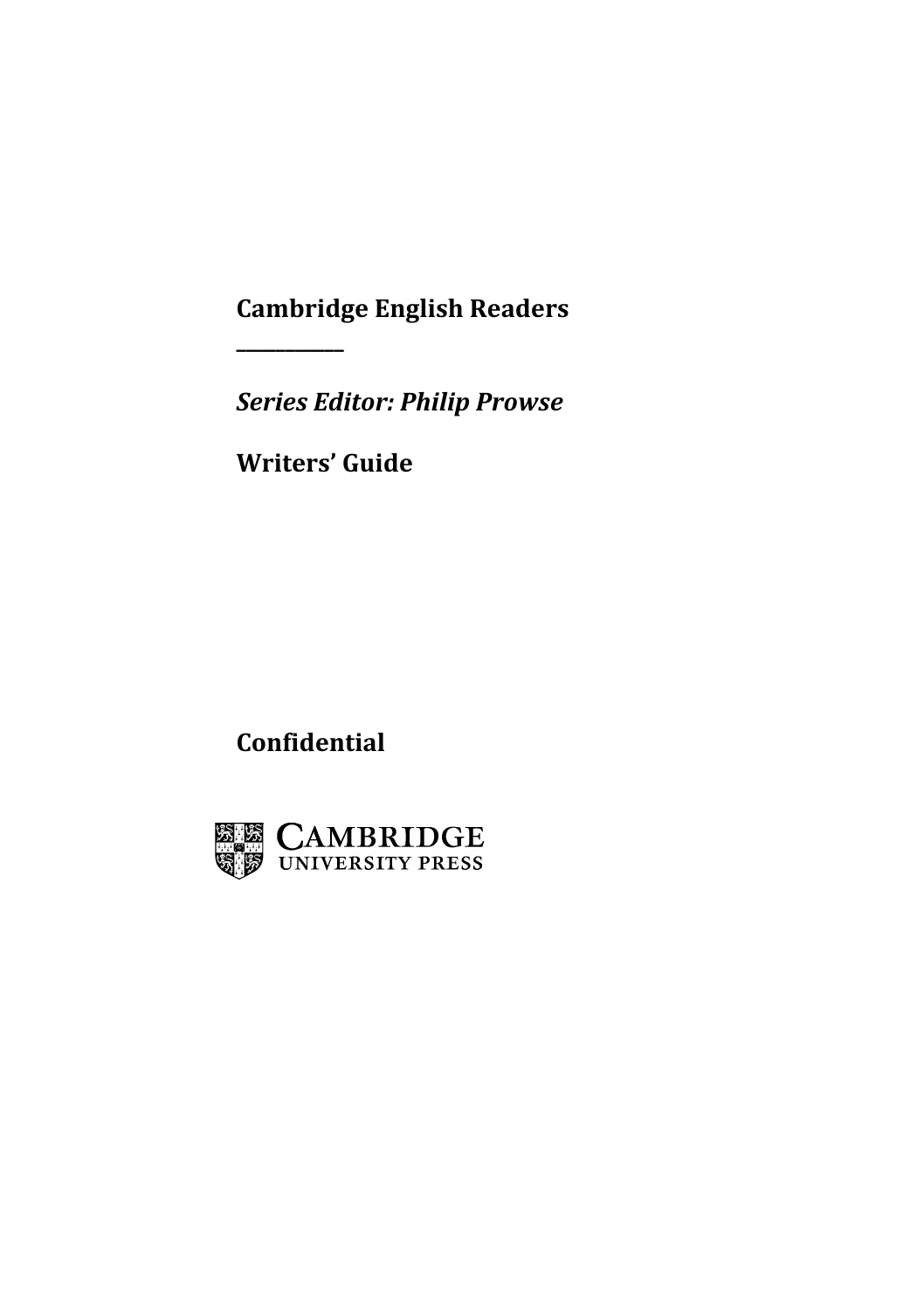**Cambridge English Readers**

*Series Editor: Philip Prowse*

**Writers' Guide**

**\_\_\_\_\_\_\_\_\_\_\_**

**Confidential**

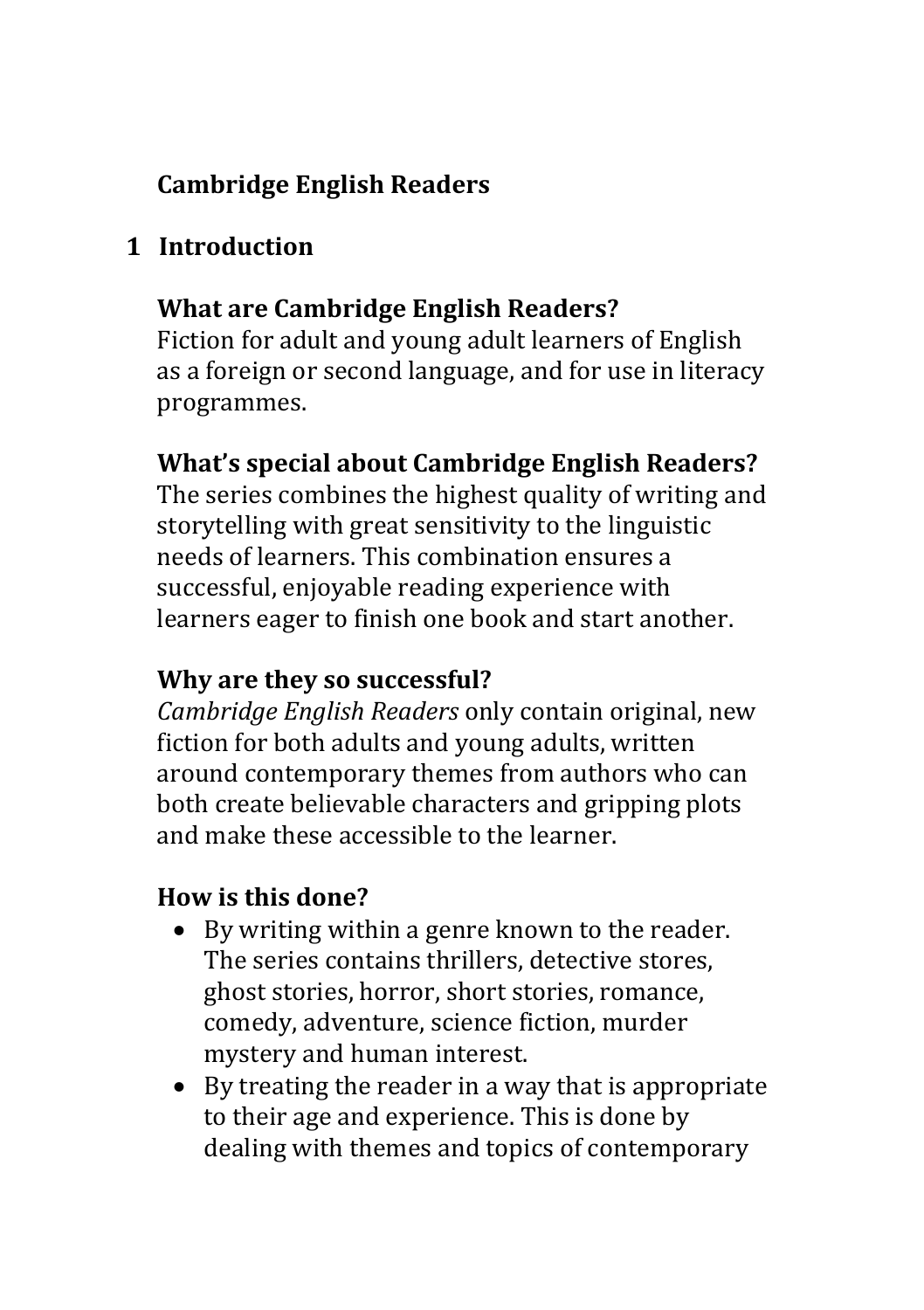# **Cambridge English Readers**

### **1 Introduction**

### **What are Cambridge English Readers?**

Fiction for adult and young adult learners of English as a foreign or second language, and for use in literacy programmes.

#### **What's special about Cambridge English Readers?**

The series combines the highest quality of writing and storytelling with great sensitivity to the linguistic needs of learners. This combination ensures a successful, enjoyable reading experience with learners eager to finish one book and start another.

#### **Why are they so successful?**

*Cambridge English Readers* only contain original, new fiction for both adults and voung adults, written around contemporary themes from authors who can both create believable characters and gripping plots and make these accessible to the learner.

### **How is this done?**

- By writing within a genre known to the reader. The series contains thrillers, detective stores, ghost stories, horror, short stories, romance, comedy, adventure, science fiction, murder mystery and human interest.
- By treating the reader in a way that is appropriate to their age and experience. This is done by dealing with themes and topics of contemporary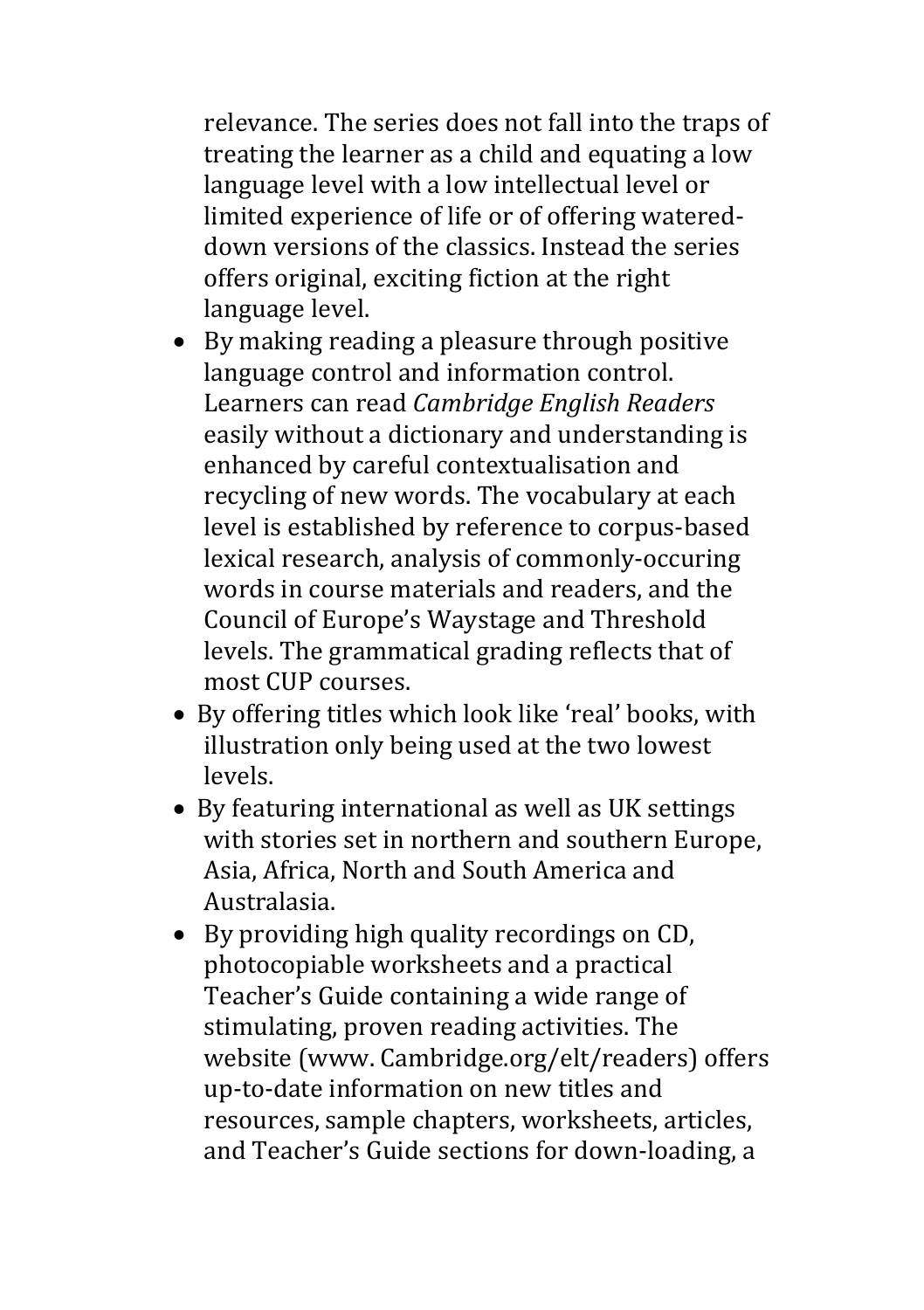relevance. The series does not fall into the traps of treating the learner as a child and equating a low language level with a low intellectual level or limited experience of life or of offering watereddown versions of the classics. Instead the series offers original, exciting fiction at the right language level.

- $\bullet$  By making reading a pleasure through positive language control and information control. Learners can read *Cambridge English Readers* easily without a dictionary and understanding is enhanced by careful contextualisation and recycling of new words. The vocabulary at each level is established by reference to corpus-based lexical research, analysis of commonly-occuring words in course materials and readers, and the Council of Europe's Waystage and Threshold levels. The grammatical grading reflects that of most CUP courses.
- By offering titles which look like 'real' books, with illustration only being used at the two lowest levels.
- By featuring international as well as UK settings with stories set in northern and southern Europe. Asia, Africa, North and South America and Australasia.
- By providing high quality recordings on CD, photocopiable worksheets and a practical Teacher's Guide containing a wide range of stimulating, proven reading activities. The website (www. Cambridge.org/elt/readers) offers up-to-date information on new titles and resources, sample chapters, worksheets, articles, and Teacher's Guide sections for down-loading, a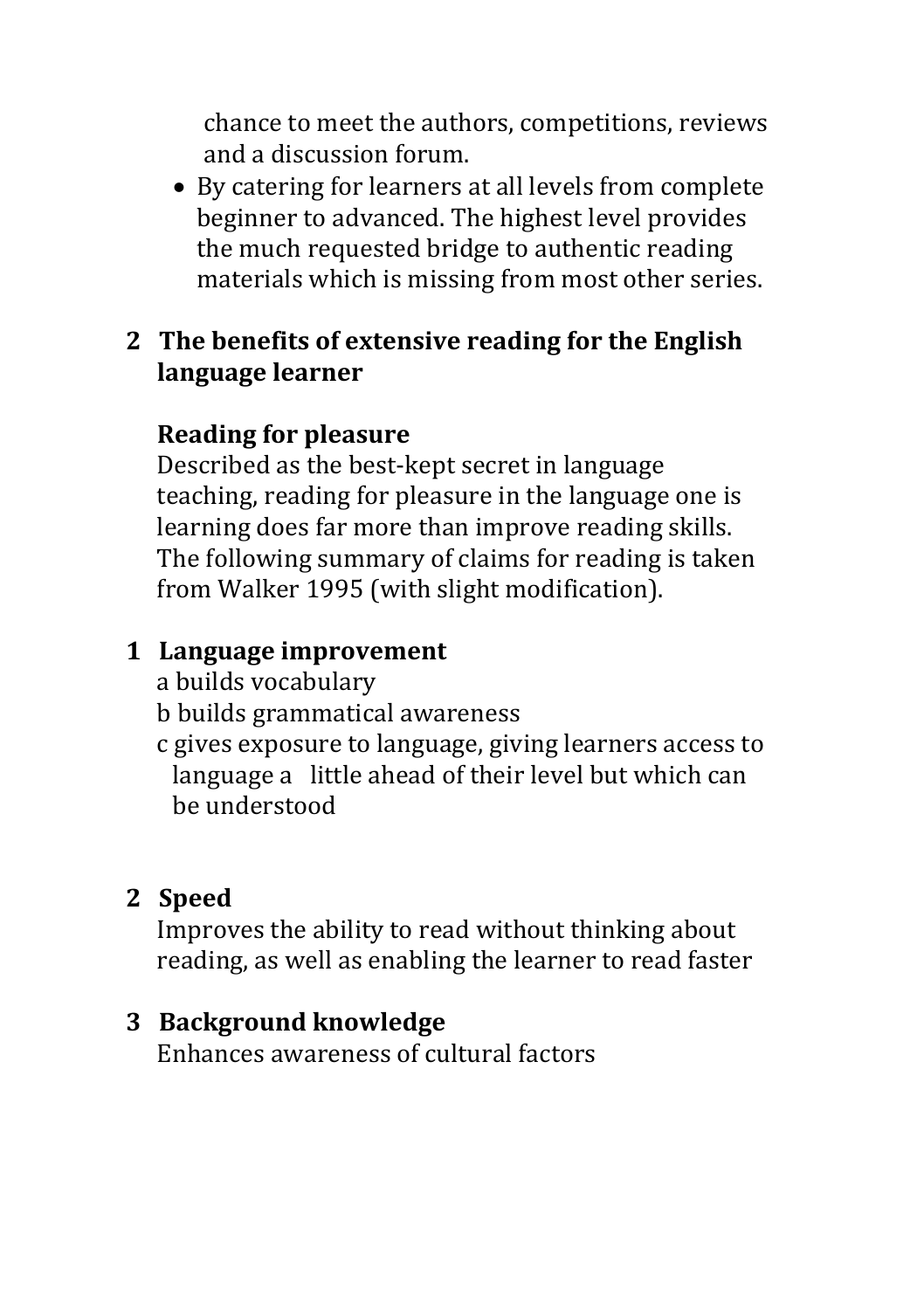chance to meet the authors, competitions, reviews and a discussion forum.

• By catering for learners at all levels from complete beginner to advanced. The highest level provides the much requested bridge to authentic reading materials which is missing from most other series.

### **2 The benefits of extensive reading for the English language learner**

## **Reading for pleasure**

Described as the best-kept secret in language teaching, reading for pleasure in the language one is learning does far more than improve reading skills. The following summary of claims for reading is taken from Walker 1995 (with slight modification).

## **1 Language improvement**

a builds vocabulary

b builds grammatical awareness

c gives exposure to language, giving learners access to language a little ahead of their level but which can be understood

# **2 Speed**

Improves the ability to read without thinking about reading, as well as enabling the learner to read faster

## **3 Background knowledge**

Enhances awareness of cultural factors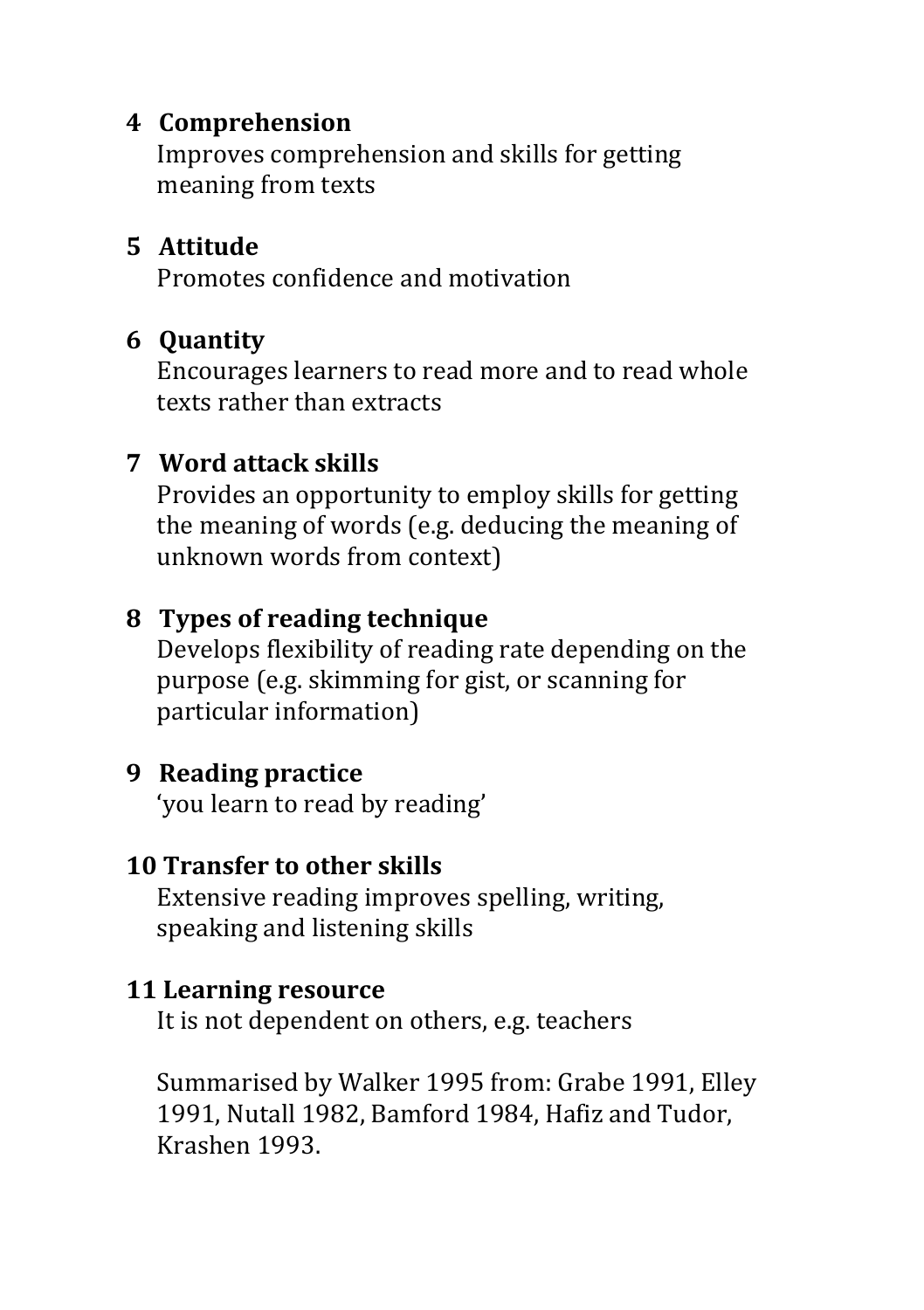### **4 Comprehension**

Improves comprehension and skills for getting meaning from texts

### **5 Attitude**

Promotes confidence and motivation

## **6 Quantity**

Encourages learners to read more and to read whole texts rather than extracts

# **7 Word attack skills**

Provides an opportunity to employ skills for getting the meaning of words (e.g. deducing the meaning of unknown words from context)

## **8 Types of reading technique**

Develops flexibility of reading rate depending on the purpose (e.g. skimming for gist, or scanning for particular information)

## **9** Reading practice

'you learn to read by reading'

## **10 Transfer to other skills**

Extensive reading improves spelling, writing, speaking and listening skills

### **11 Learning resource**

It is not dependent on others, e.g. teachers

Summarised by Walker 1995 from: Grabe 1991, Elley 1991, Nutall 1982, Bamford 1984, Hafiz and Tudor, Krashen 1993.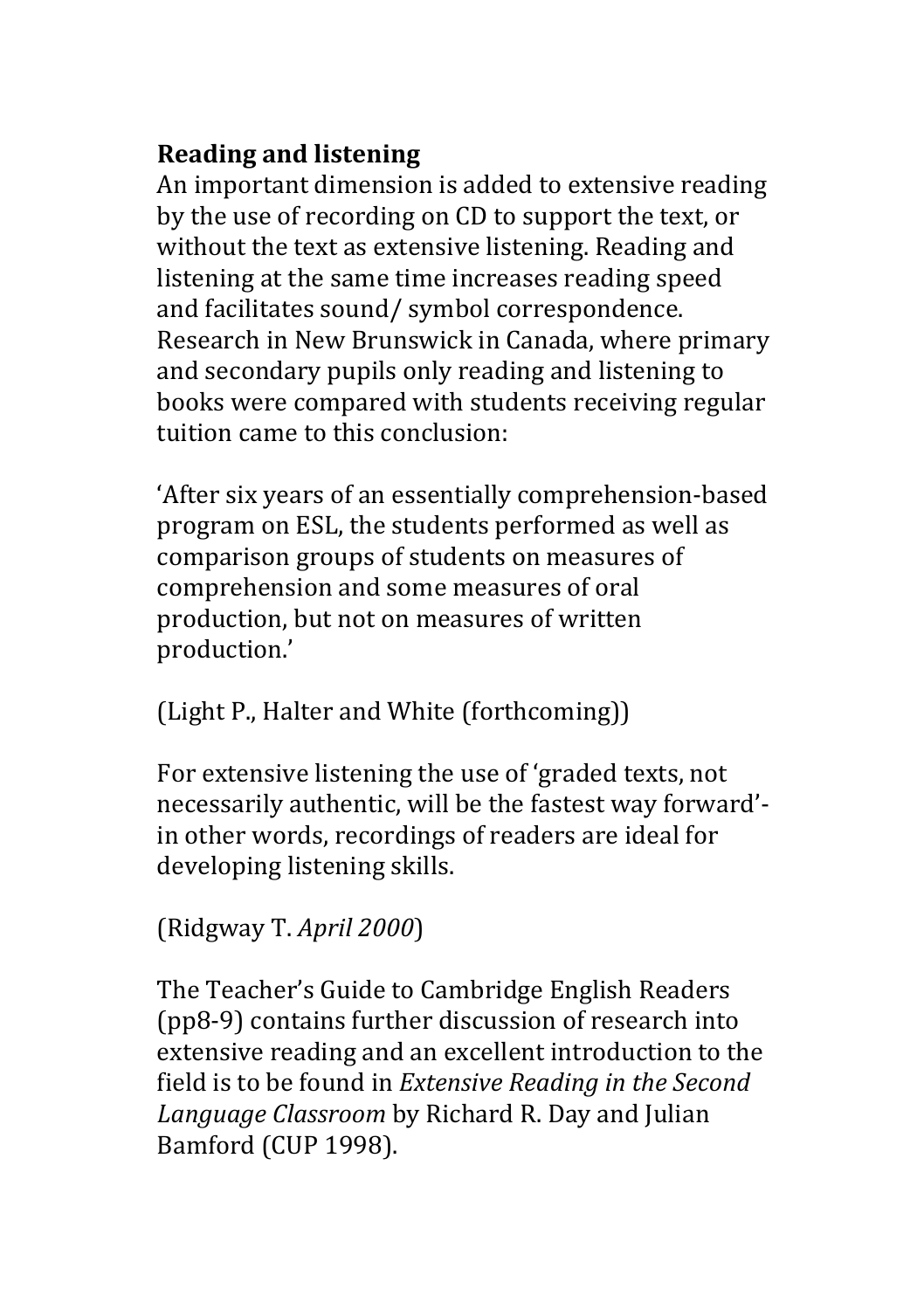## **Reading and listening**

An important dimension is added to extensive reading by the use of recording on CD to support the text, or without the text as extensive listening. Reading and listening at the same time increases reading speed and facilitates sound/ symbol correspondence. Research in New Brunswick in Canada, where primary and secondary pupils only reading and listening to books were compared with students receiving regular tuition came to this conclusion.

'After six years of an essentially comprehension-based program on ESL, the students performed as well as comparison groups of students on measures of comprehension and some measures of oral production, but not on measures of written production.'

(Light P., Halter and White (forthcoming))

For extensive listening the use of 'graded texts, not necessarily authentic, will be the fastest way forward'in other words, recordings of readers are ideal for developing listening skills.

## (Ridgway T. *April 2000*)

The Teacher's Guide to Cambridge English Readers (pp8-9) contains further discussion of research into extensive reading and an excellent introduction to the field is to be found in *Extensive Reading in the Second* Language Classroom by Richard R. Day and Julian Bamford (CUP 1998).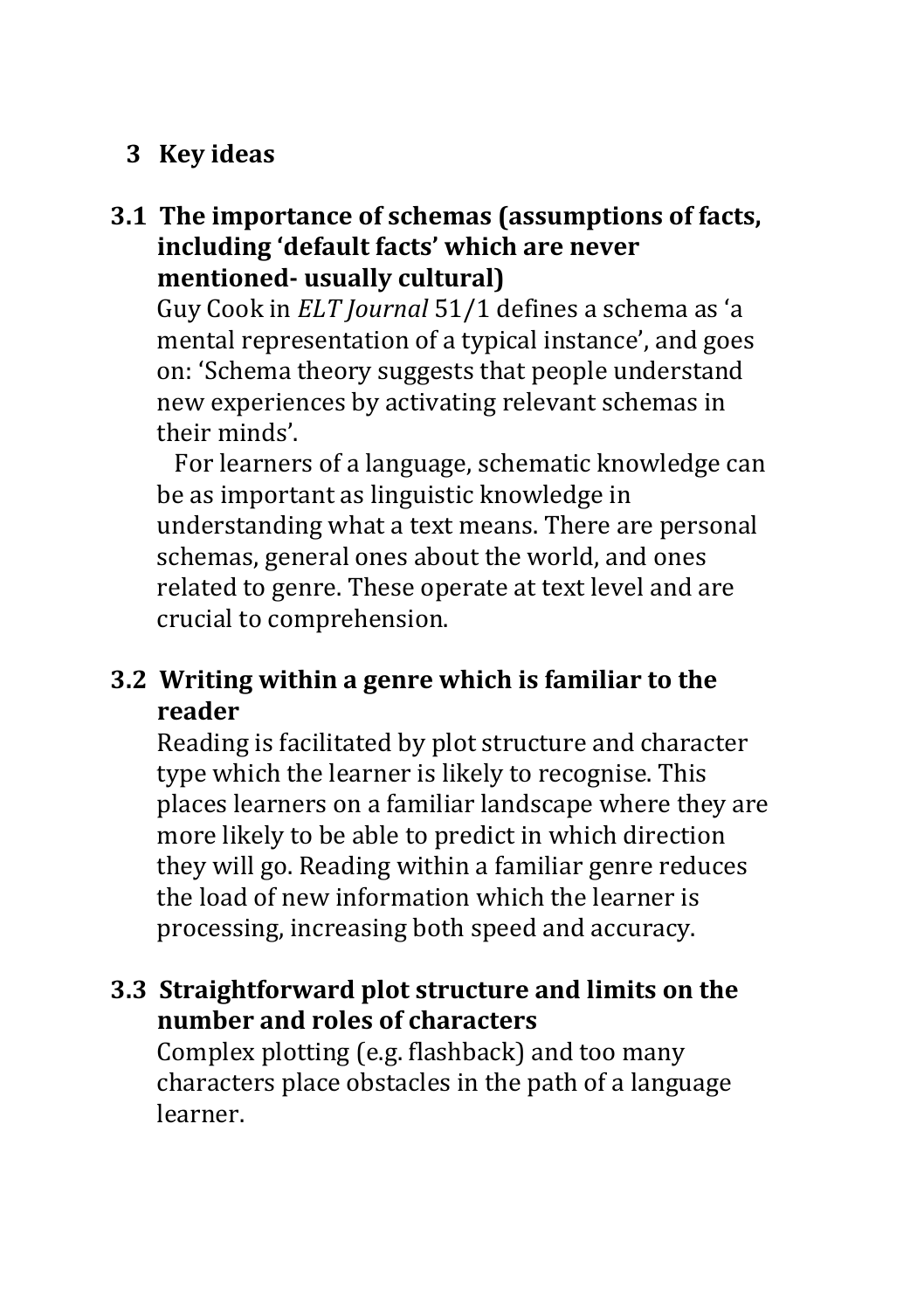## **3 Key ideas**

### **3.1 The importance of schemas (assumptions of facts,** including 'default facts' which are never **mentioned- usually cultural)**

Guy Cook in *ELT Journal* 51/1 defines a schema as 'a mental representation of a typical instance', and goes on: 'Schema theory suggests that people understand new experiences by activating relevant schemas in their minds'.

For learners of a language, schematic knowledge can be as important as linguistic knowledge in understanding what a text means. There are personal schemas, general ones about the world, and ones related to genre. These operate at text level and are crucial to comprehension.

### **3.2 Writing within a genre which is familiar to the reader**

Reading is facilitated by plot structure and character type which the learner is likely to recognise. This places learners on a familiar landscape where they are more likely to be able to predict in which direction they will go. Reading within a familiar genre reduces the load of new information which the learner is processing, increasing both speed and accuracy.

## **3.3 Straightforward plot structure and limits on the number and roles of characters**

Complex plotting (e.g. flashback) and too many characters place obstacles in the path of a language learner.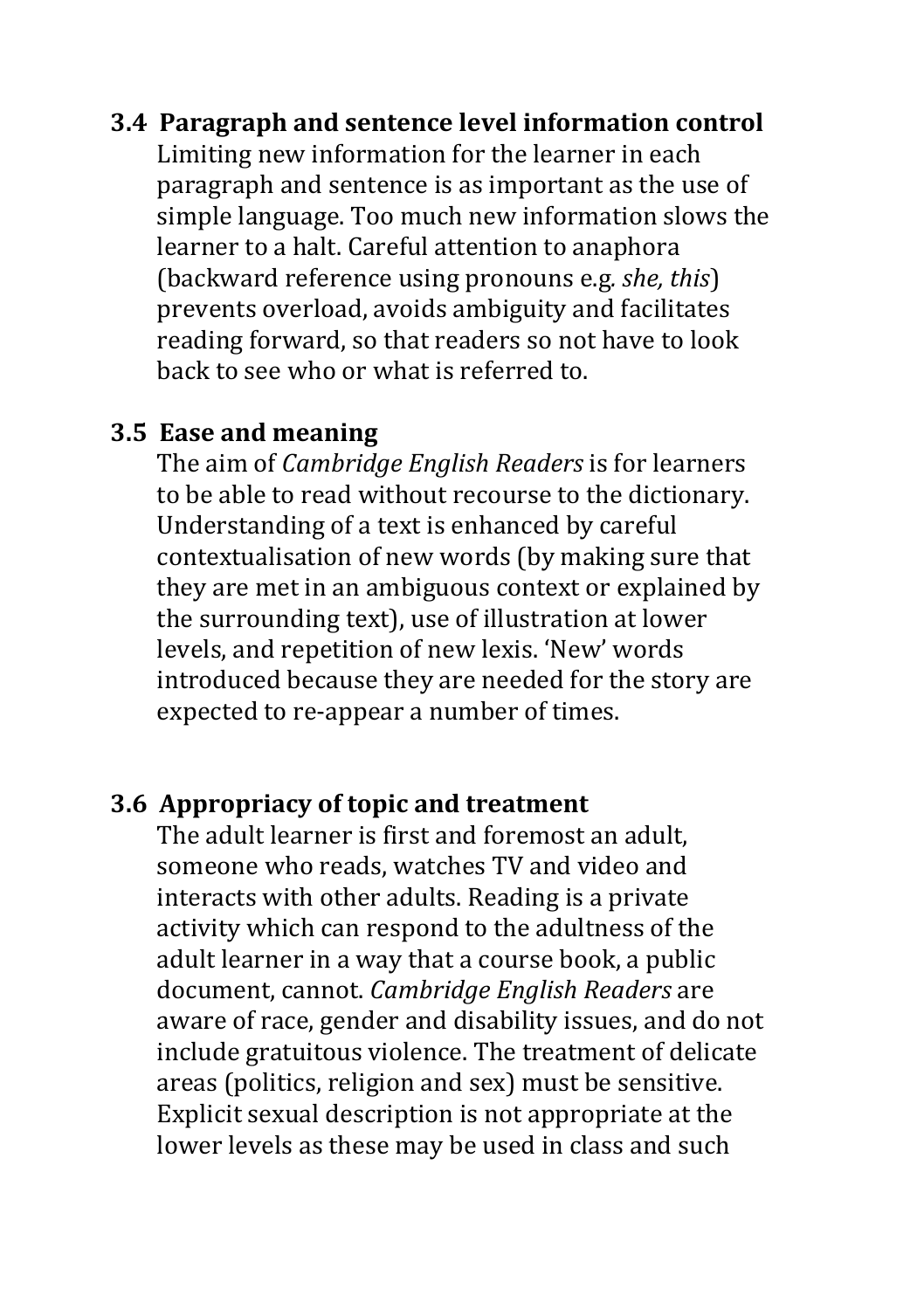#### **3.4 Paragraph and sentence level information control**

Limiting new information for the learner in each paragraph and sentence is as important as the use of simple language. Too much new information slows the learner to a halt. Careful attention to anaphora (backward reference using pronouns e.g*. she, this*) prevents overload, avoids ambiguity and facilitates reading forward, so that readers so not have to look back to see who or what is referred to.

#### **3.5 Ease and meaning**

The aim of *Cambridge English Readers* is for learners to be able to read without recourse to the dictionary. Understanding of a text is enhanced by careful contextualisation of new words (by making sure that they are met in an ambiguous context or explained by the surrounding text), use of illustration at lower levels, and repetition of new lexis. 'New' words introduced because they are needed for the story are expected to re-appear a number of times.

#### **3.6 Appropriacy of topic and treatment**

The adult learner is first and foremost an adult. someone who reads, watches TV and video and interacts with other adults. Reading is a private activity which can respond to the adultness of the adult learner in a way that a course book, a public document, cannot. *Cambridge English Readers* are aware of race, gender and disability issues, and do not include gratuitous violence. The treatment of delicate areas (politics, religion and sex) must be sensitive. Explicit sexual description is not appropriate at the lower levels as these may be used in class and such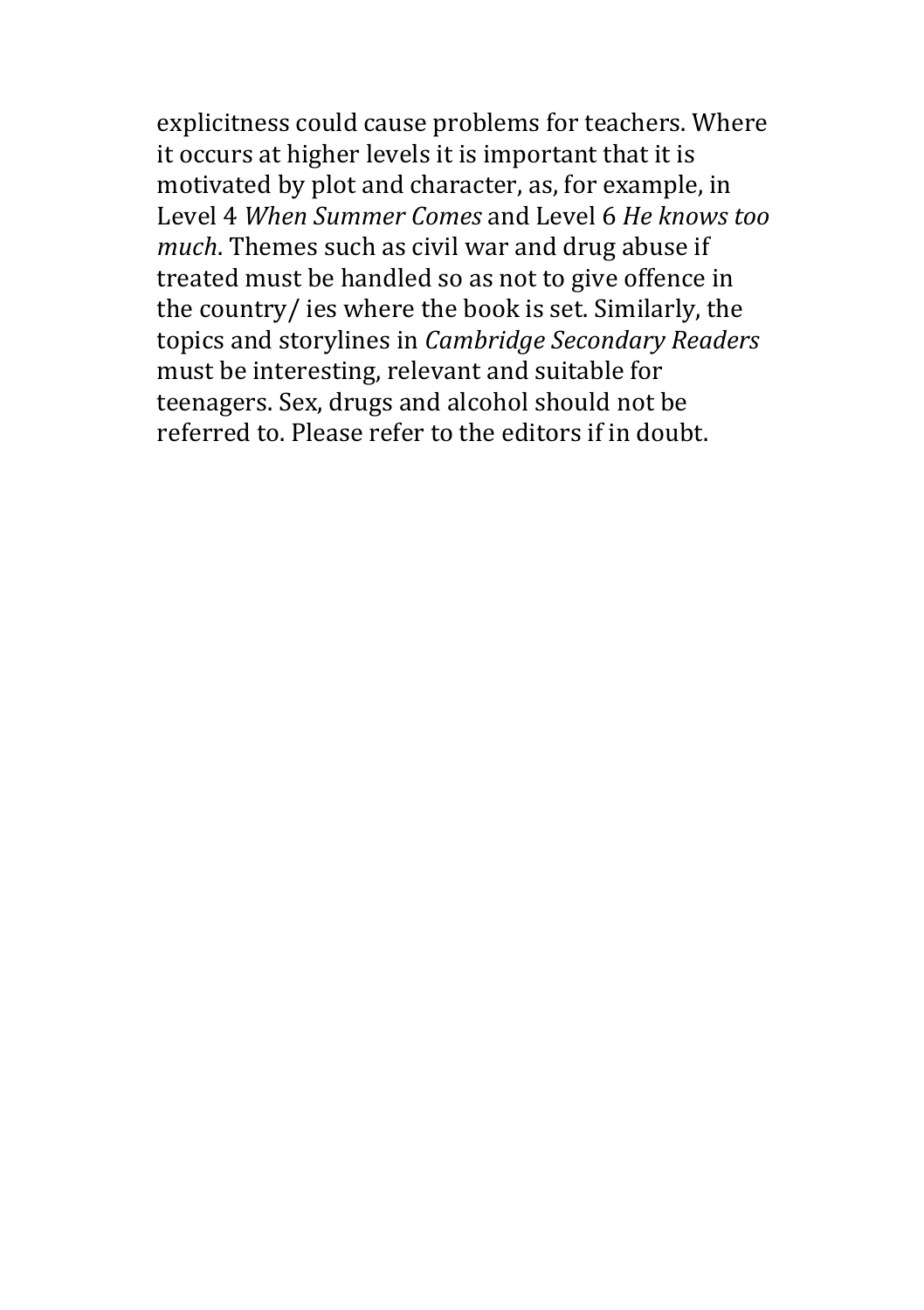explicitness could cause problems for teachers. Where it occurs at higher levels it is important that it is motivated by plot and character, as, for example, in Level 4 *When Summer Comes* and Level 6 *He knows too much*. Themes such as civil war and drug abuse if treated must be handled so as not to give offence in the country/ ies where the book is set. Similarly, the topics and storylines in *Cambridge Secondary Readers* must be interesting, relevant and suitable for teenagers. Sex, drugs and alcohol should not be referred to. Please refer to the editors if in doubt.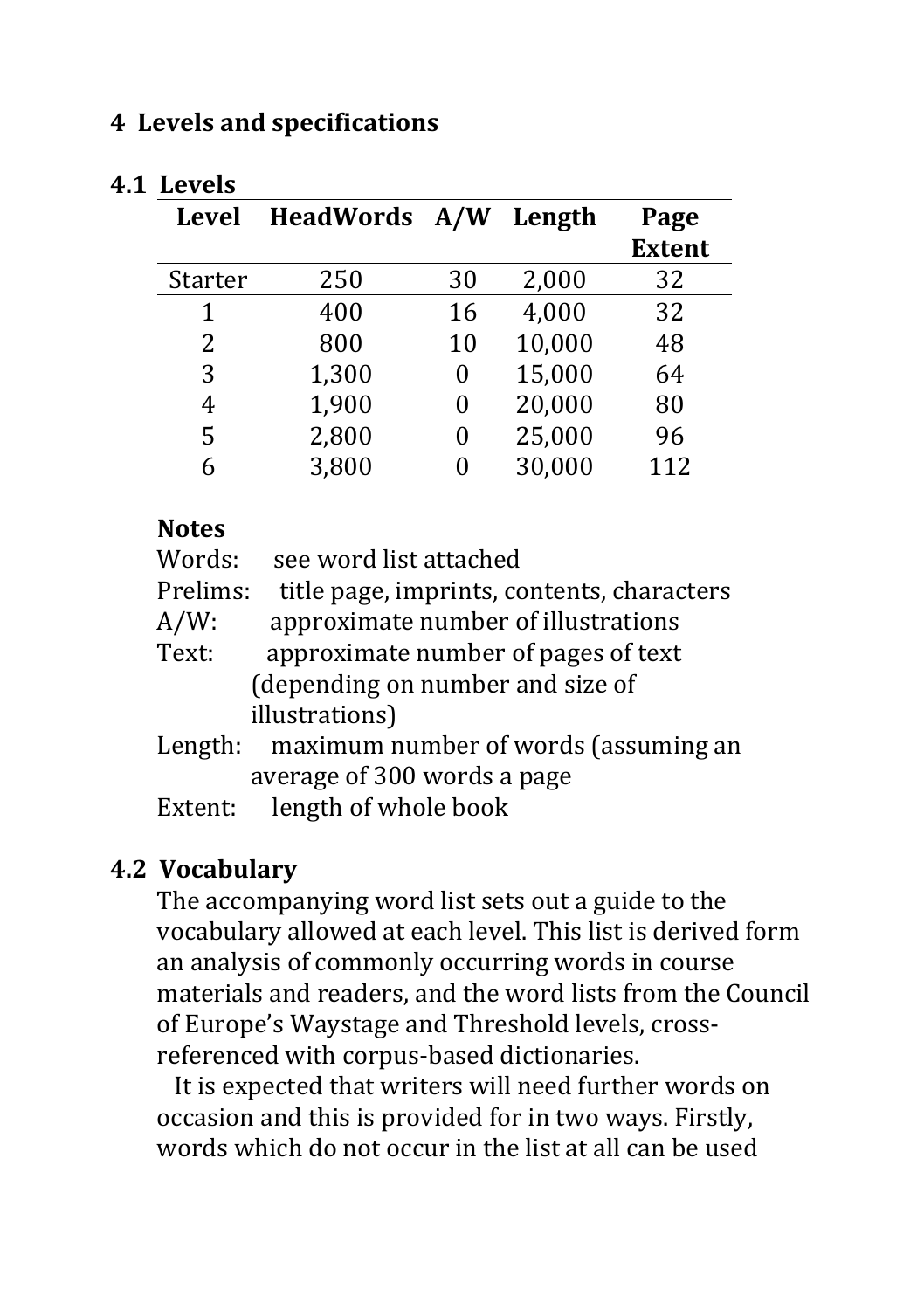#### **4 Levels and specifications**

| <b>Level</b>   | HeadWords A/W |    | Length | Page<br><b>Extent</b> |
|----------------|---------------|----|--------|-----------------------|
| <b>Starter</b> | 250           | 30 | 2,000  | 32                    |
| 1              | 400           | 16 | 4,000  | 32                    |
| 2              | 800           | 10 | 10,000 | 48                    |
| 3              | 1,300         | 0  | 15,000 | 64                    |
| 4              | 1,900         | 0  | 20,000 | 80                    |
| 5              | 2,800         | 0  | 25,000 | 96                    |
| 6              | 3,800         | 0  | 30,000 | 112                   |

#### **4.1 Levels**

#### **Notes**

| Words:   | see word list attached                     |
|----------|--------------------------------------------|
| Prelims: | title page, imprints, contents, characters |
| A/W:     | approximate number of illustrations        |
| Text:    | approximate number of pages of text        |
|          | (depending on number and size of           |
|          | illustrations)                             |
| Length:  | maximum number of words (assuming an       |
|          | average of 300 words a page                |
|          |                                            |

Extent: length of whole book

### **4.2 Vocabulary**

The accompanying word list sets out a guide to the vocabulary allowed at each level. This list is derived form an analysis of commonly occurring words in course materials and readers, and the word lists from the Council of Europe's Waystage and Threshold levels, crossreferenced with corpus-based dictionaries.

It is expected that writers will need further words on occasion and this is provided for in two ways. Firstly, words which do not occur in the list at all can be used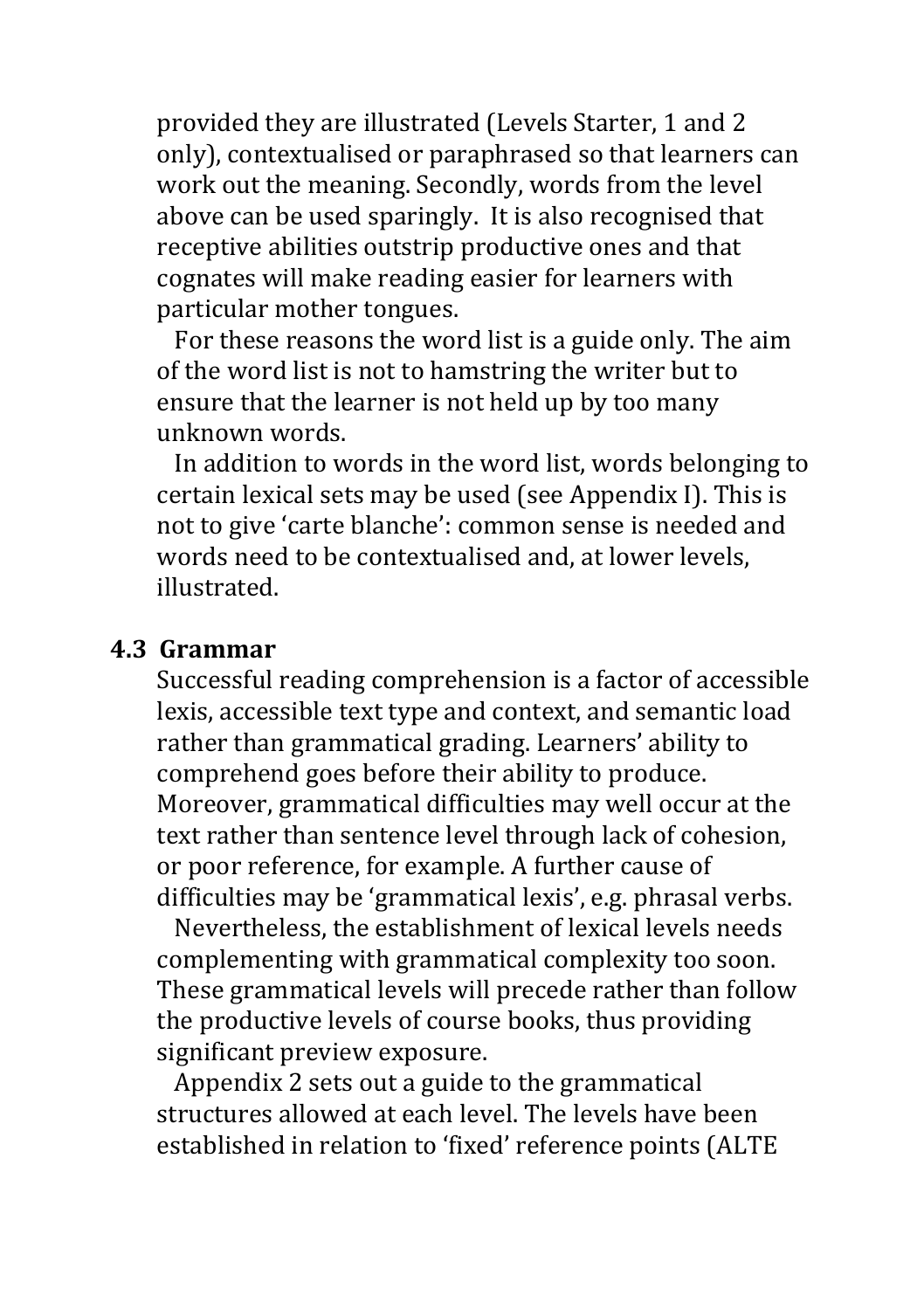provided they are illustrated (Levels Starter, 1 and 2 only), contextualised or paraphrased so that learners can work out the meaning. Secondly, words from the level above can be used sparingly. It is also recognised that receptive abilities outstrip productive ones and that cognates will make reading easier for learners with particular mother tongues.

For these reasons the word list is a guide only. The aim of the word list is not to hamstring the writer but to ensure that the learner is not held up by too many unknown words.

In addition to words in the word list, words belonging to certain lexical sets may be used (see Appendix I). This is not to give 'carte blanche': common sense is needed and words need to be contextualised and, at lower levels, illustrated.

#### **4.3 Grammar**

Successful reading comprehension is a factor of accessible lexis, accessible text type and context, and semantic load rather than grammatical grading. Learners' ability to comprehend goes before their ability to produce. Moreover, grammatical difficulties may well occur at the text rather than sentence level through lack of cohesion, or poor reference, for example. A further cause of difficulties may be 'grammatical lexis', e.g. phrasal verbs.

Nevertheless, the establishment of lexical levels needs complementing with grammatical complexity too soon. These grammatical levels will precede rather than follow the productive levels of course books, thus providing significant preview exposure.

Appendix 2 sets out a guide to the grammatical structures allowed at each level. The levels have been established in relation to 'fixed' reference points (ALTE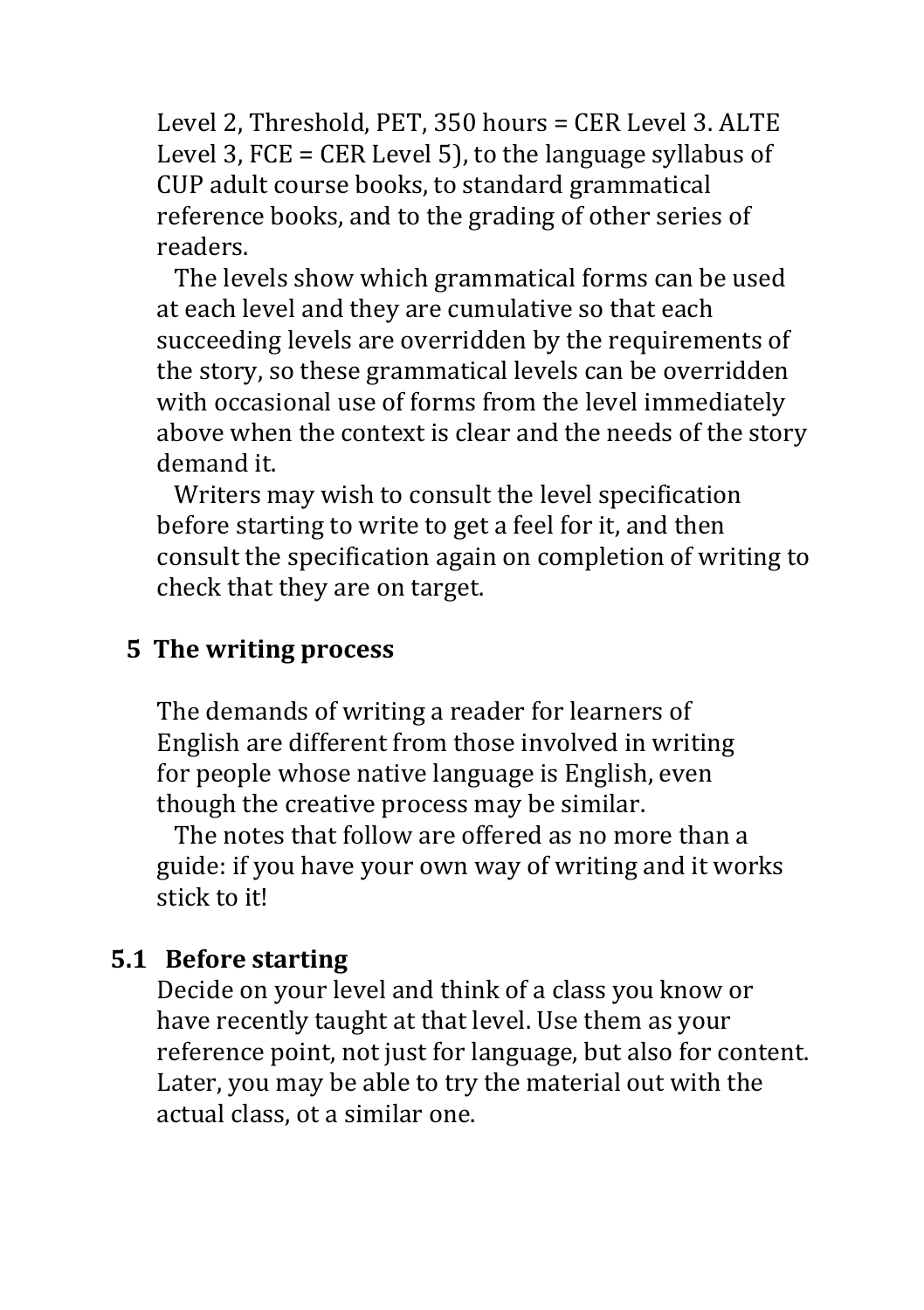Level 2, Threshold, PET, 350 hours = CER Level 3. ALTE Level 3, FCE = CER Level 5), to the language syllabus of CUP adult course books, to standard grammatical reference books, and to the grading of other series of readers.

The levels show which grammatical forms can be used at each level and they are cumulative so that each succeeding levels are overridden by the requirements of the story, so these grammatical levels can be overridden with occasional use of forms from the level immediately above when the context is clear and the needs of the story demand it.

Writers may wish to consult the level specification before starting to write to get a feel for it, and then consult the specification again on completion of writing to check that they are on target.

### **5** The writing process

The demands of writing a reader for learners of English are different from those involved in writing for people whose native language is English, even though the creative process may be similar.

The notes that follow are offered as no more than a guide: if you have your own way of writing and it works stick to it!

#### **5.1 Before starting**

Decide on your level and think of a class you know or have recently taught at that level. Use them as your reference point, not just for language, but also for content. Later, you may be able to try the material out with the actual class, ot a similar one.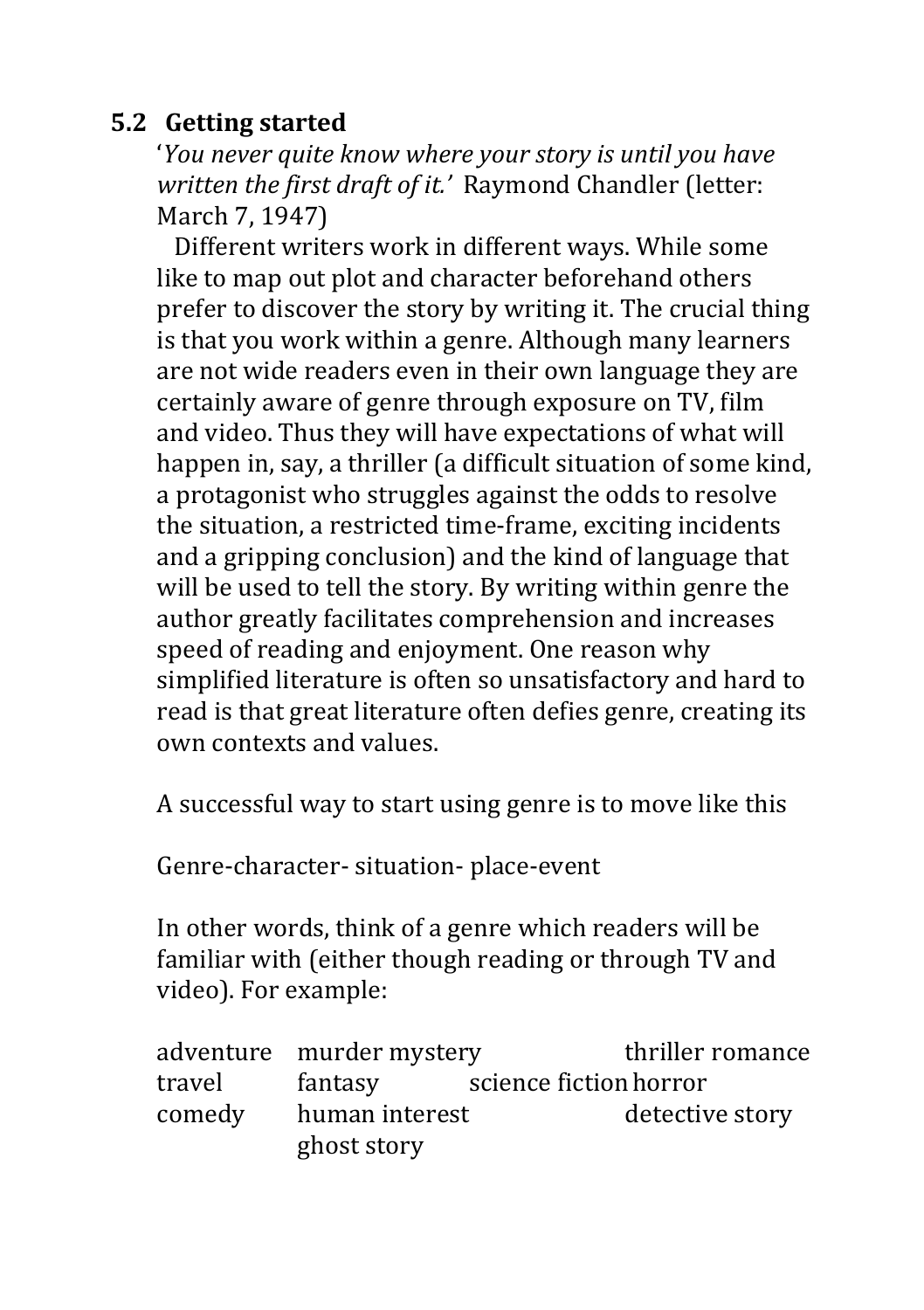### **5.2 Getting started**

*'You never quite know where your story is until you have written the first draft of it.'* Raymond Chandler (letter: March 7, 1947)

Different writers work in different ways. While some like to map out plot and character beforehand others prefer to discover the story by writing it. The crucial thing is that you work within a genre. Although many learners are not wide readers even in their own language they are certainly aware of genre through exposure on TV, film and video. Thus they will have expectations of what will happen in, say, a thriller (a difficult situation of some kind, a protagonist who struggles against the odds to resolve the situation, a restricted time-frame, exciting incidents and a gripping conclusion) and the kind of language that will be used to tell the story. By writing within genre the author greatly facilitates comprehension and increases speed of reading and enjoyment. One reason why simplified literature is often so unsatisfactory and hard to read is that great literature often defies genre, creating its own contexts and values.

A successful way to start using genre is to move like this

Genre-character- situation- place-event

In other words, think of a genre which readers will be familiar with (either though reading or through TV and video). For example:

|        | adventure murder mystery |                        | thriller romance |
|--------|--------------------------|------------------------|------------------|
| travel | fantasy                  | science fiction horror |                  |
| comedy | human interest           |                        | detective story  |
|        | ghost story              |                        |                  |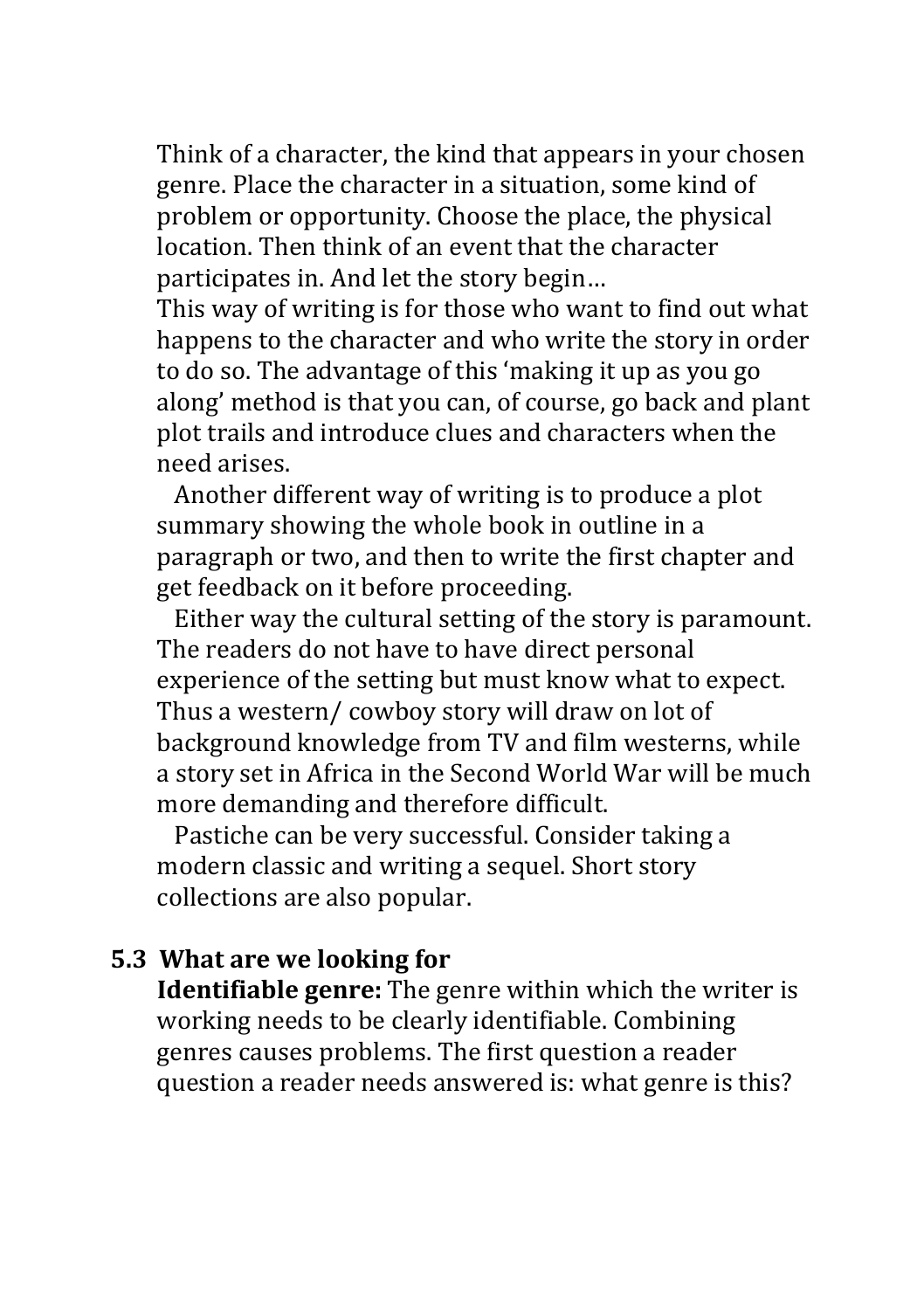Think of a character, the kind that appears in your chosen genre. Place the character in a situation, some kind of problem or opportunity. Choose the place, the physical location. Then think of an event that the character participates in. And let the story begin...

This way of writing is for those who want to find out what happens to the character and who write the story in order to do so. The advantage of this 'making it up as you go along' method is that you can, of course, go back and plant plot trails and introduce clues and characters when the need arises.

Another different way of writing is to produce a plot summary showing the whole book in outline in a paragraph or two, and then to write the first chapter and get feedback on it before proceeding.

Either way the cultural setting of the story is paramount. The readers do not have to have direct personal experience of the setting but must know what to expect. Thus a western/ cowboy story will draw on lot of background knowledge from TV and film westerns, while a story set in Africa in the Second World War will be much more demanding and therefore difficult.

Pastiche can be very successful. Consider taking a modern classic and writing a sequel. Short story collections are also popular.

### **5.3** What are we looking for

**Identifiable genre:** The genre within which the writer is working needs to be clearly identifiable. Combining genres causes problems. The first question a reader question a reader needs answered is: what genre is this?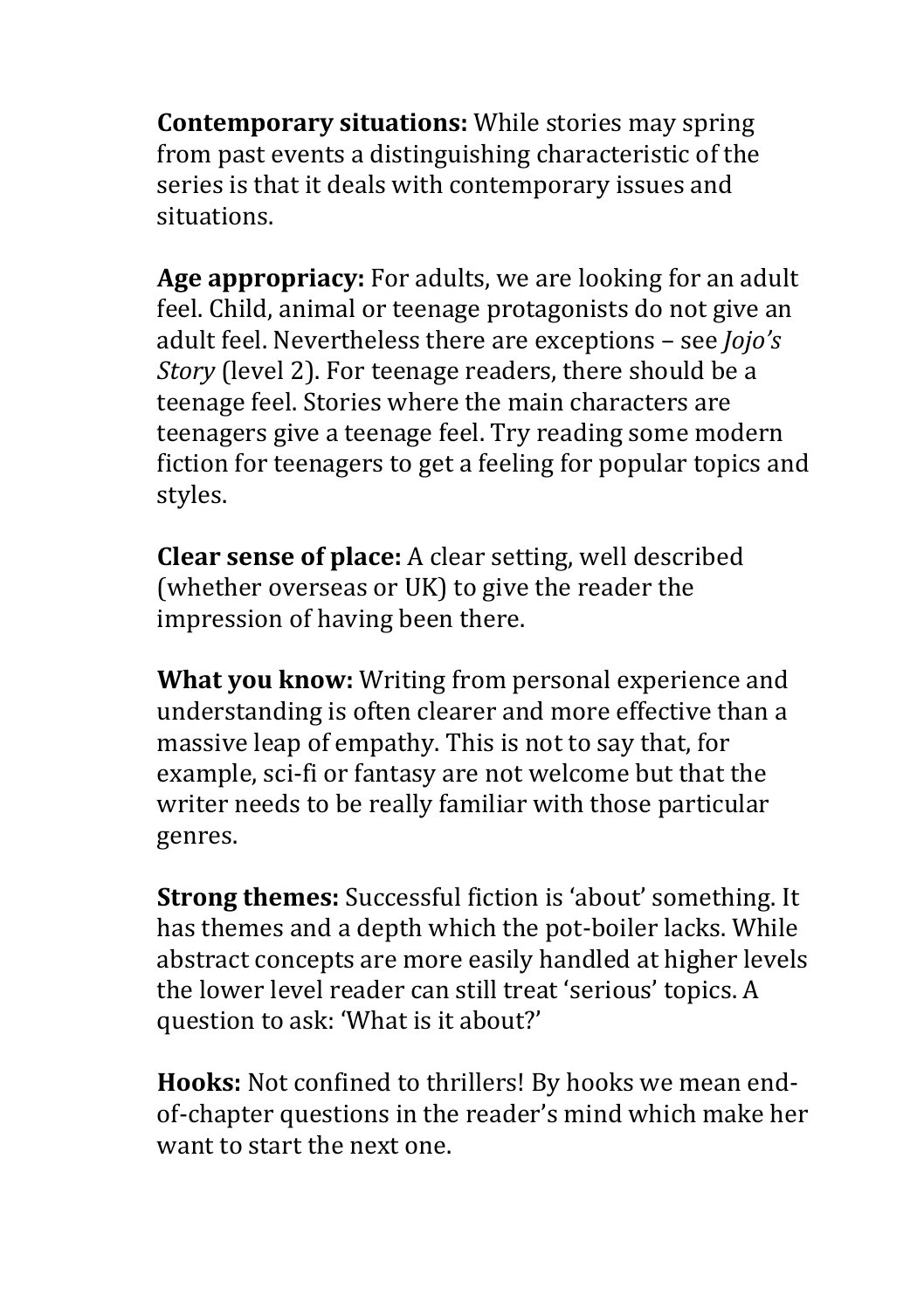**Contemporary situations:** While stories may spring from past events a distinguishing characteristic of the series is that it deals with contemporary issues and situations.

Age appropriacy: For adults, we are looking for an adult feel. Child, animal or teenage protagonists do not give an adult feel. Nevertheless there are exceptions - see *Jojo's Story* (level 2). For teenage readers, there should be a teenage feel. Stories where the main characters are teenagers give a teenage feel. Try reading some modern fiction for teenagers to get a feeling for popular topics and styles.

**Clear sense of place:** A clear setting, well described (whether overseas or UK) to give the reader the impression of having been there.

**What you know:** Writing from personal experience and understanding is often clearer and more effective than a massive leap of empathy. This is not to say that, for example, sci-fi or fantasy are not welcome but that the writer needs to be really familiar with those particular genres.

**Strong themes:** Successful fiction is 'about' something. It has themes and a depth which the pot-boiler lacks. While abstract concepts are more easily handled at higher levels the lower level reader can still treat 'serious' topics. A question to ask: 'What is it about?'

**Hooks:** Not confined to thrillers! By hooks we mean endof-chapter questions in the reader's mind which make her want to start the next one.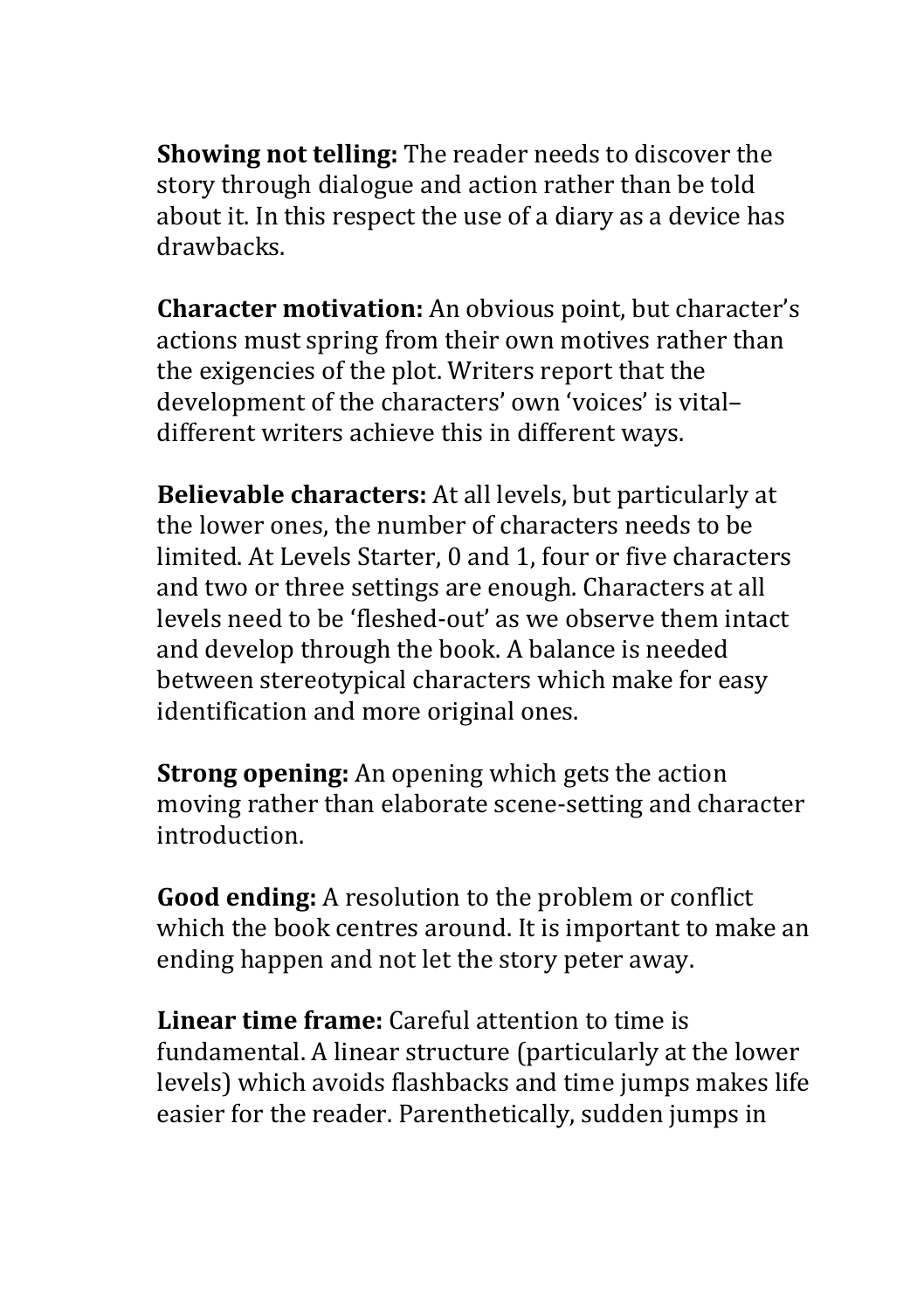**Showing not telling:** The reader needs to discover the story through dialogue and action rather than be told about it. In this respect the use of a diary as a device has drawbacks.

**Character motivation:** An obvious point, but character's actions must spring from their own motives rather than the exigencies of the plot. Writers report that the development of the characters' own 'voices' is vitaldifferent writers achieve this in different ways.

**Believable characters:** At all levels, but particularly at the lower ones, the number of characters needs to be limited. At Levels Starter, 0 and 1, four or five characters and two or three settings are enough. Characters at all levels need to be 'fleshed-out' as we observe them intact and develop through the book. A balance is needed between stereotypical characters which make for easy identification and more original ones.

**Strong opening:** An opening which gets the action moving rather than elaborate scene-setting and character introduction.

**Good ending:** A resolution to the problem or conflict which the book centres around. It is important to make an ending happen and not let the story peter away.

**Linear time frame:** Careful attention to time is fundamental. A linear structure (particularly at the lower levels) which avoids flashbacks and time jumps makes life easier for the reader. Parenthetically, sudden jumps in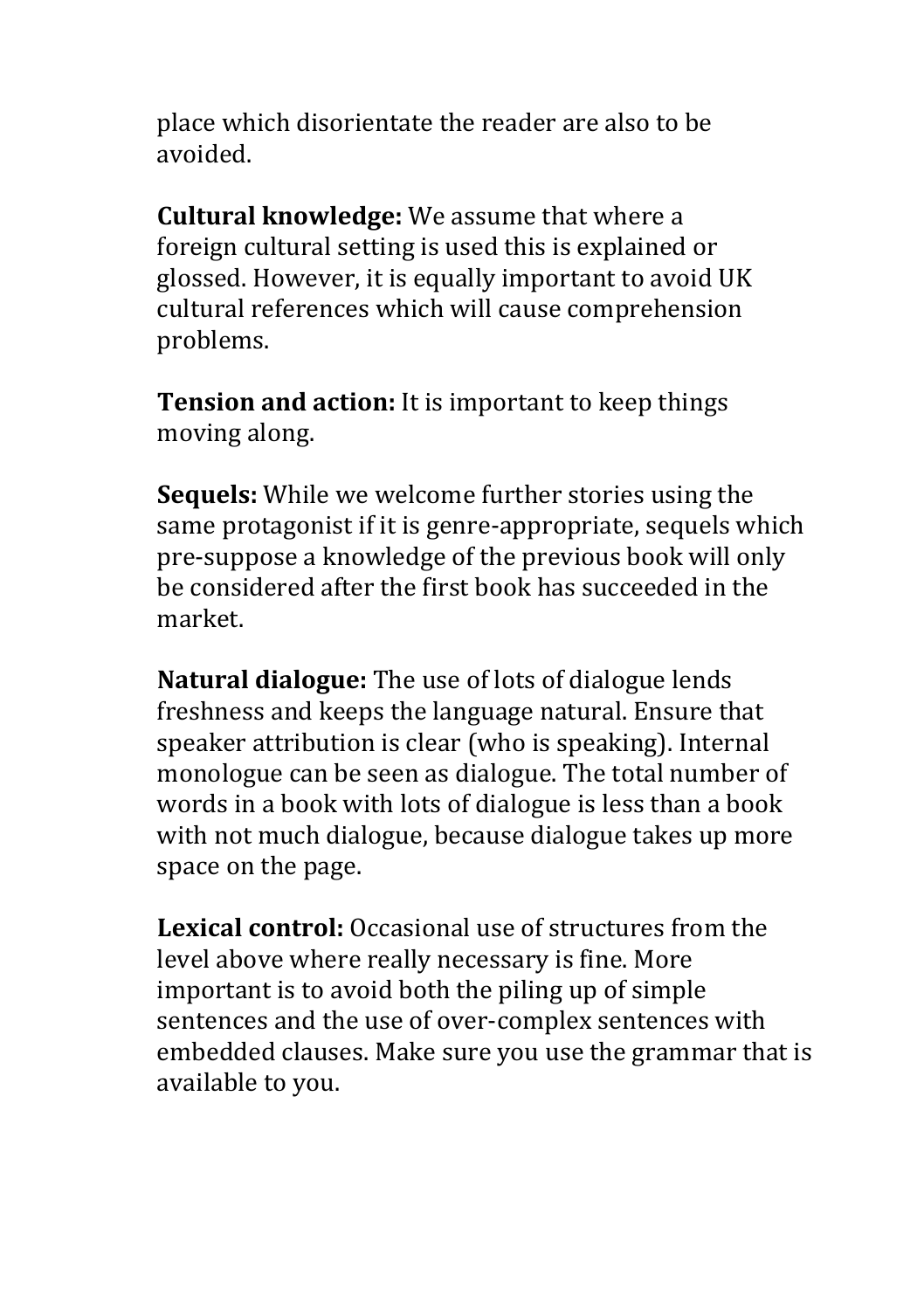place which disorientate the reader are also to be avoided.

**Cultural knowledge:** We assume that where a foreign cultural setting is used this is explained or glossed. However, it is equally important to avoid UK cultural references which will cause comprehension problems.

**Tension and action:** It is important to keep things moving along.

**Sequels:** While we welcome further stories using the same protagonist if it is genre-appropriate, sequels which pre-suppose a knowledge of the previous book will only be considered after the first book has succeeded in the market.

**Natural dialogue:** The use of lots of dialogue lends freshness and keeps the language natural. Ensure that speaker attribution is clear (who is speaking). Internal monologue can be seen as dialogue. The total number of words in a book with lots of dialogue is less than a book with not much dialogue, because dialogue takes up more space on the page.

**Lexical control:** Occasional use of structures from the level above where really necessary is fine. More important is to avoid both the piling up of simple sentences and the use of over-complex sentences with embedded clauses. Make sure you use the grammar that is available to you.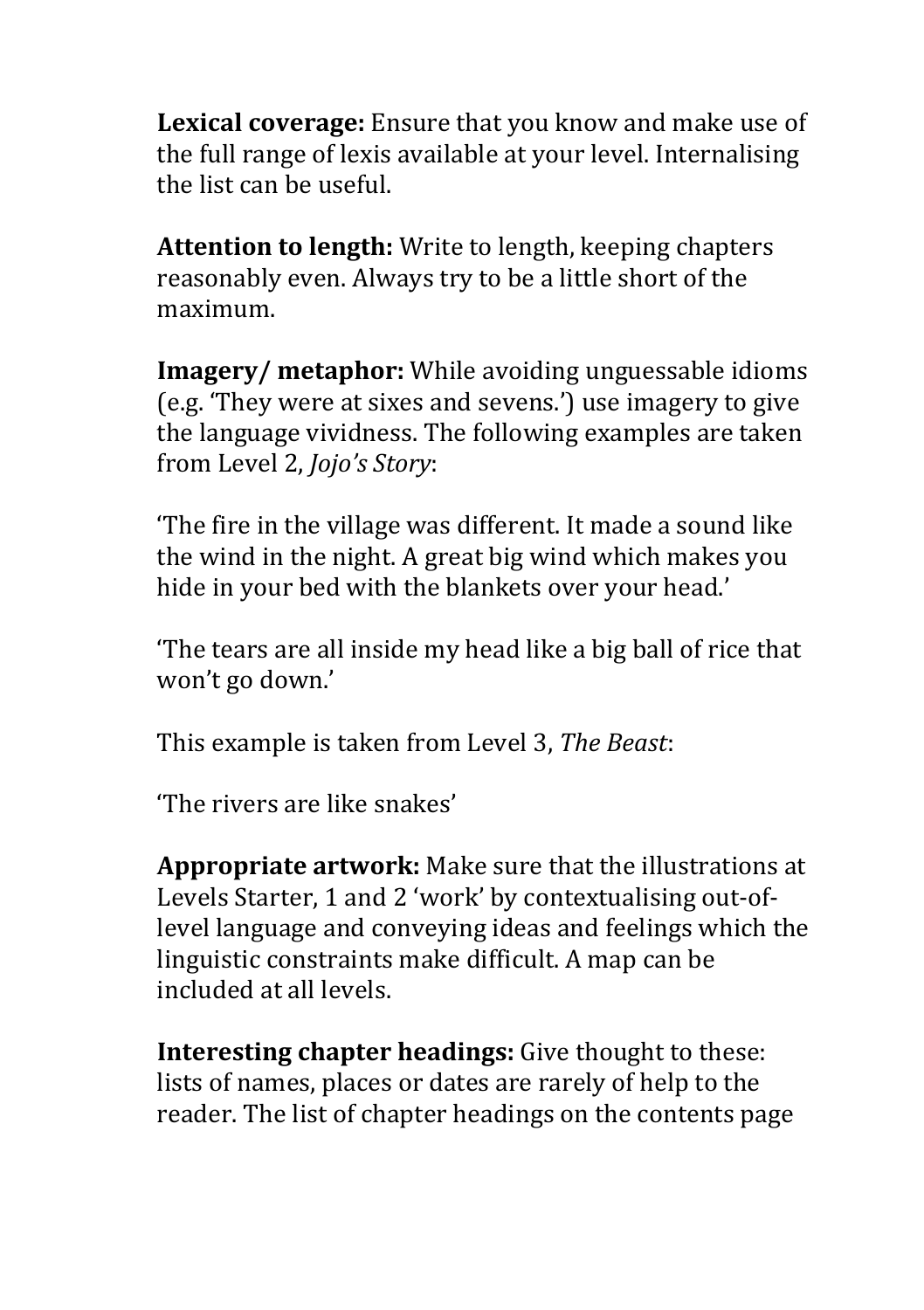**Lexical coverage:** Ensure that you know and make use of the full range of lexis available at your level. Internalising the list can be useful.

**Attention to length:** Write to length, keeping chapters reasonably even. Always try to be a little short of the maximum.

**Imagery/** metaphor: While avoiding unguessable idioms (e.g. 'They were at sixes and sevens.') use imagery to give the language vividness. The following examples are taken from Level 2. *Jojo's Story*:

The fire in the village was different. It made a sound like the wind in the night. A great big wind which makes you hide in your bed with the blankets over your head.'

'The tears are all inside my head like a big ball of rice that won't go down.'

This example is taken from Level 3, *The Beast*:

'The rivers are like snakes'

**Appropriate artwork:** Make sure that the illustrations at Levels Starter, 1 and 2 'work' by contextualising out-oflevel language and conveying ideas and feelings which the linguistic constraints make difficult. A map can be included at all levels.

**Interesting chapter headings:** Give thought to these: lists of names, places or dates are rarely of help to the reader. The list of chapter headings on the contents page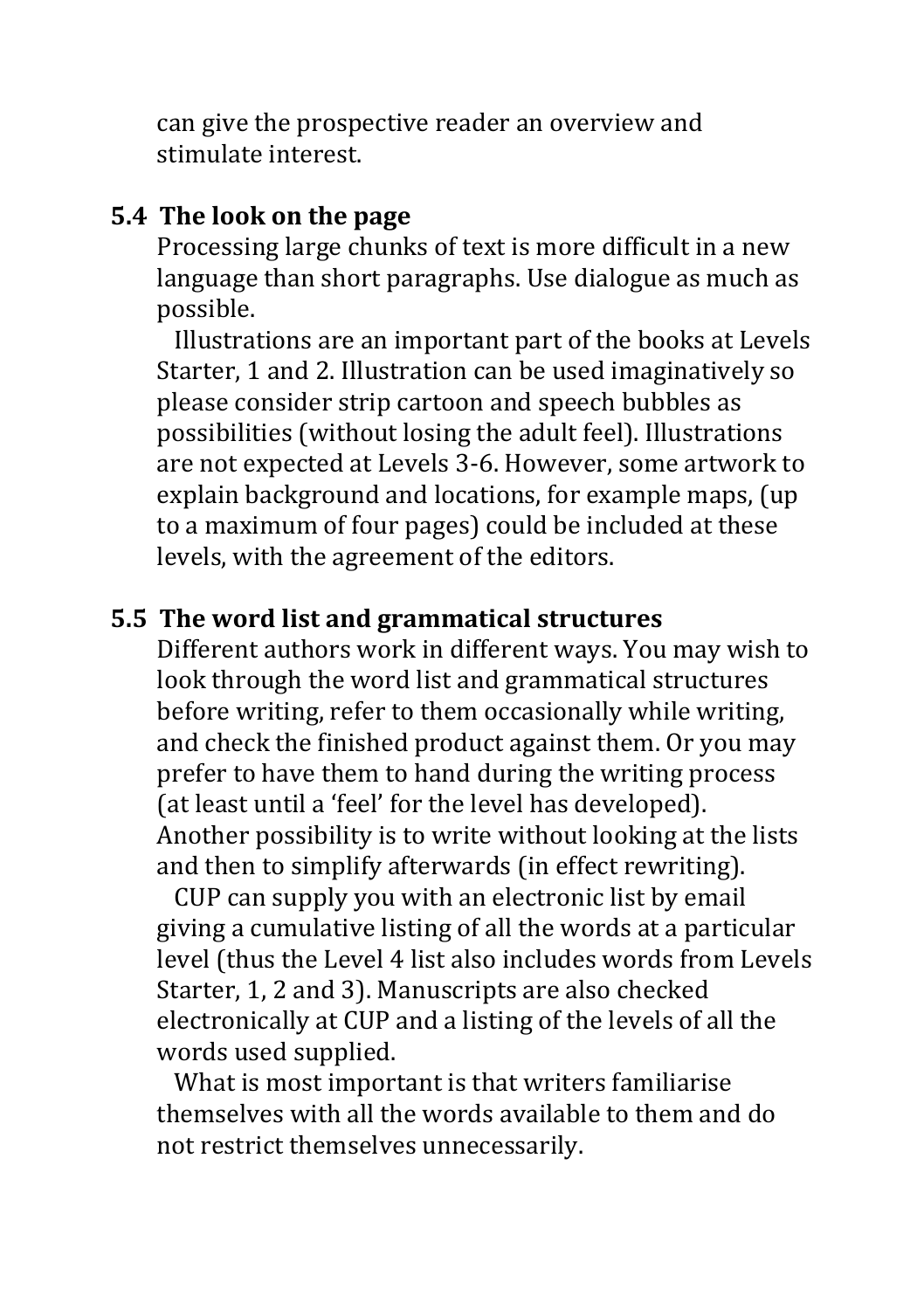can give the prospective reader an overview and stimulate interest

### **5.4** The look on the page

Processing large chunks of text is more difficult in a new language than short paragraphs. Use dialogue as much as possible.

Illustrations are an important part of the books at Levels Starter, 1 and 2. Illustration can be used imaginatively so please consider strip cartoon and speech bubbles as possibilities (without losing the adult feel). Illustrations are not expected at Levels 3-6. However, some artwork to explain background and locations, for example maps, (up to a maximum of four pages) could be included at these levels, with the agreement of the editors.

### **5.5** The word list and grammatical structures

Different authors work in different ways. You may wish to look through the word list and grammatical structures before writing, refer to them occasionally while writing, and check the finished product against them. Or you may prefer to have them to hand during the writing process (at least until a 'feel' for the level has developed). Another possibility is to write without looking at the lists and then to simplify afterwards (in effect rewriting).

CUP can supply you with an electronic list by email giving a cumulative listing of all the words at a particular level (thus the Level 4 list also includes words from Levels Starter, 1, 2 and 3). Manuscripts are also checked electronically at CUP and a listing of the levels of all the words used supplied.

What is most important is that writers familiarise themselves with all the words available to them and do not restrict themselves unnecessarily.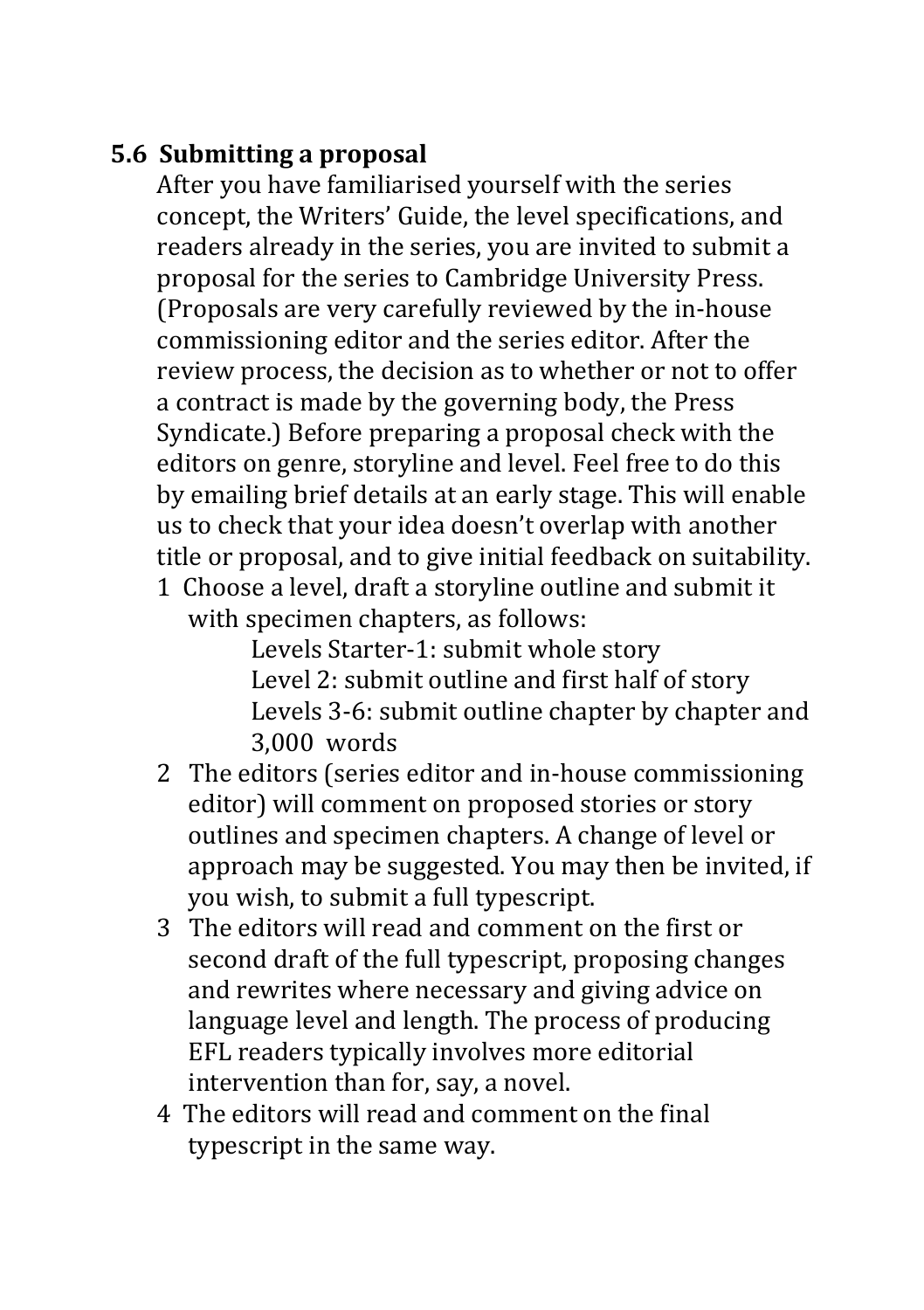## **5.6 Submitting a proposal**

After you have familiarised vourself with the series concept, the Writers' Guide, the level specifications, and readers already in the series, you are invited to submit a proposal for the series to Cambridge University Press. (Proposals are very carefully reviewed by the in-house commissioning editor and the series editor. After the review process, the decision as to whether or not to offer a contract is made by the governing body, the Press Syndicate.) Before preparing a proposal check with the editors on genre, storyline and level. Feel free to do this by emailing brief details at an early stage. This will enable us to check that your idea doesn't overlap with another title or proposal, and to give initial feedback on suitability.

1 Choose a level, draft a storyline outline and submit it with specimen chapters, as follows:

Levels Starter-1: submit whole story Level 2: submit outline and first half of story Levels 3-6: submit outline chapter by chapter and 3,000 words

- 2 The editors (series editor and in-house commissioning editor) will comment on proposed stories or story outlines and specimen chapters. A change of level or approach may be suggested. You may then be invited, if you wish, to submit a full typescript.
- 3 The editors will read and comment on the first or second draft of the full typescript, proposing changes and rewrites where necessary and giving advice on language level and length. The process of producing EFL readers typically involves more editorial intervention than for, say, a novel.
- 4 The editors will read and comment on the final typescript in the same way.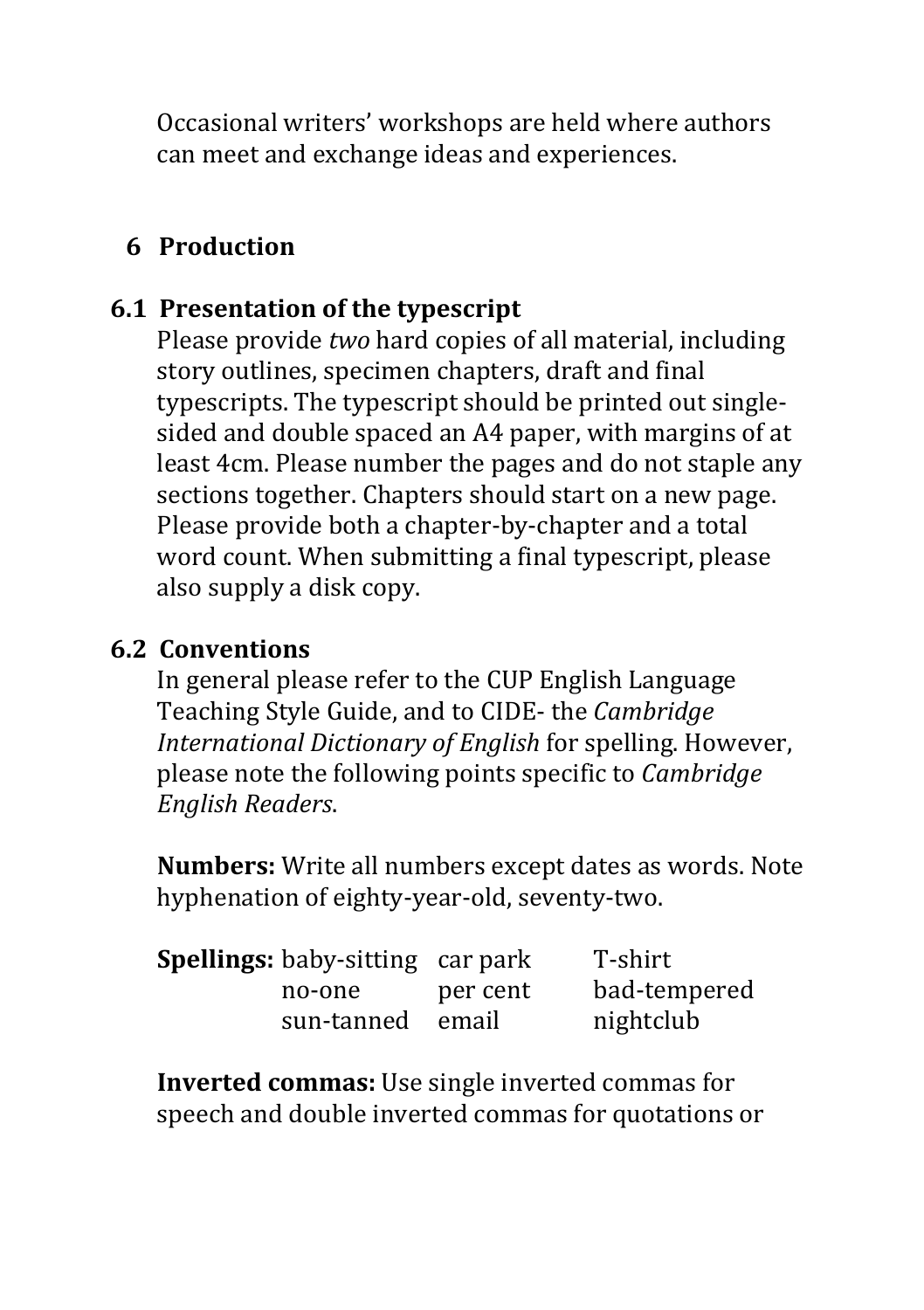Occasional writers' workshops are held where authors can meet and exchange ideas and experiences.

### **6 Production**

## **6.1 Presentation of the typescript**

Please provide *two* hard copies of all material, including story outlines, specimen chapters, draft and final typescripts. The typescript should be printed out singlesided and double spaced an A4 paper, with margins of at least 4cm. Please number the pages and do not staple any sections together. Chapters should start on a new page. Please provide both a chapter-by-chapter and a total word count. When submitting a final typescript, please also supply a disk copy.

### **6.2 Conventions**

In general please refer to the CUP English Language Teaching Style Guide, and to CIDE- the *Cambridge International Dictionary of English* for spelling. However, please note the following points specific to *Cambridge English Readers*. 

**Numbers:** Write all numbers except dates as words. Note hyphenation of eighty-year-old, seventy-two.

| <b>Spellings:</b> baby-sitting car park |          | T-shirt      |
|-----------------------------------------|----------|--------------|
| no-one                                  | per cent | bad-tempered |
| sun-tanned email                        |          | nightclub    |

**Inverted commas:** Use single inverted commas for speech and double inverted commas for quotations or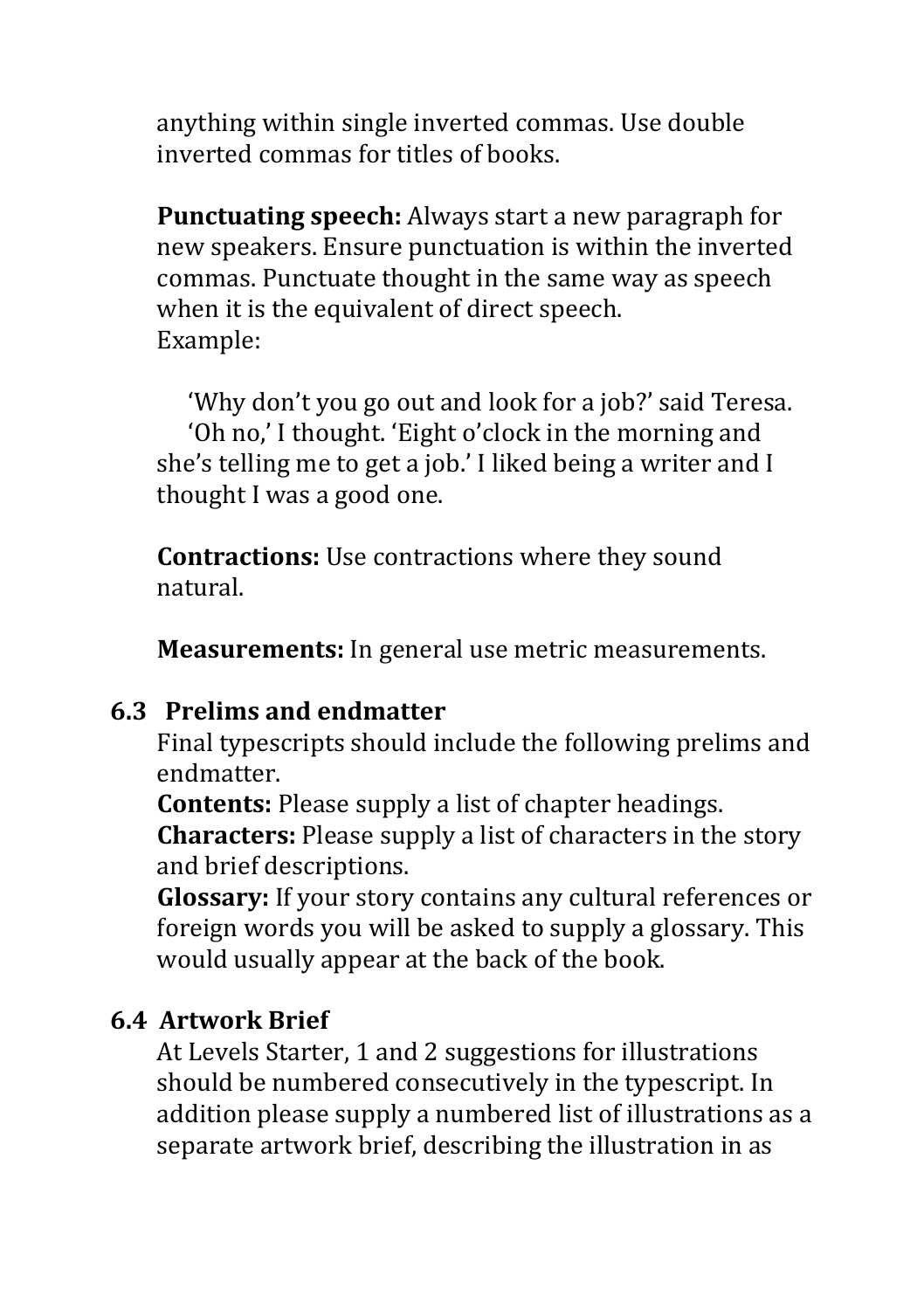anything within single inverted commas. Use double inverted commas for titles of books.

**Punctuating speech:** Always start a new paragraph for new speakers. Ensure punctuation is within the inverted commas. Punctuate thought in the same way as speech when it is the equivalent of direct speech. Example:

'Why don't you go out and look for a job?' said Teresa. 'Oh no,' I thought. 'Eight o'clock in the morning and she's telling me to get a job.' I liked being a writer and I thought I was a good one.

**Contractions:** Use contractions where they sound natural.

**Measurements:** In general use metric measurements.

### **6.3 Prelims and endmatter**

Final typescripts should include the following prelims and endmatter.

**Contents:** Please supply a list of chapter headings. **Characters:** Please supply a list of characters in the story and brief descriptions.

**Glossary:** If your story contains any cultural references or foreign words you will be asked to supply a glossary. This would usually appear at the back of the book.

#### **6.4 Artwork Brief**

At Levels Starter, 1 and 2 suggestions for illustrations should be numbered consecutively in the typescript. In addition please supply a numbered list of illustrations as a separate artwork brief, describing the illustration in as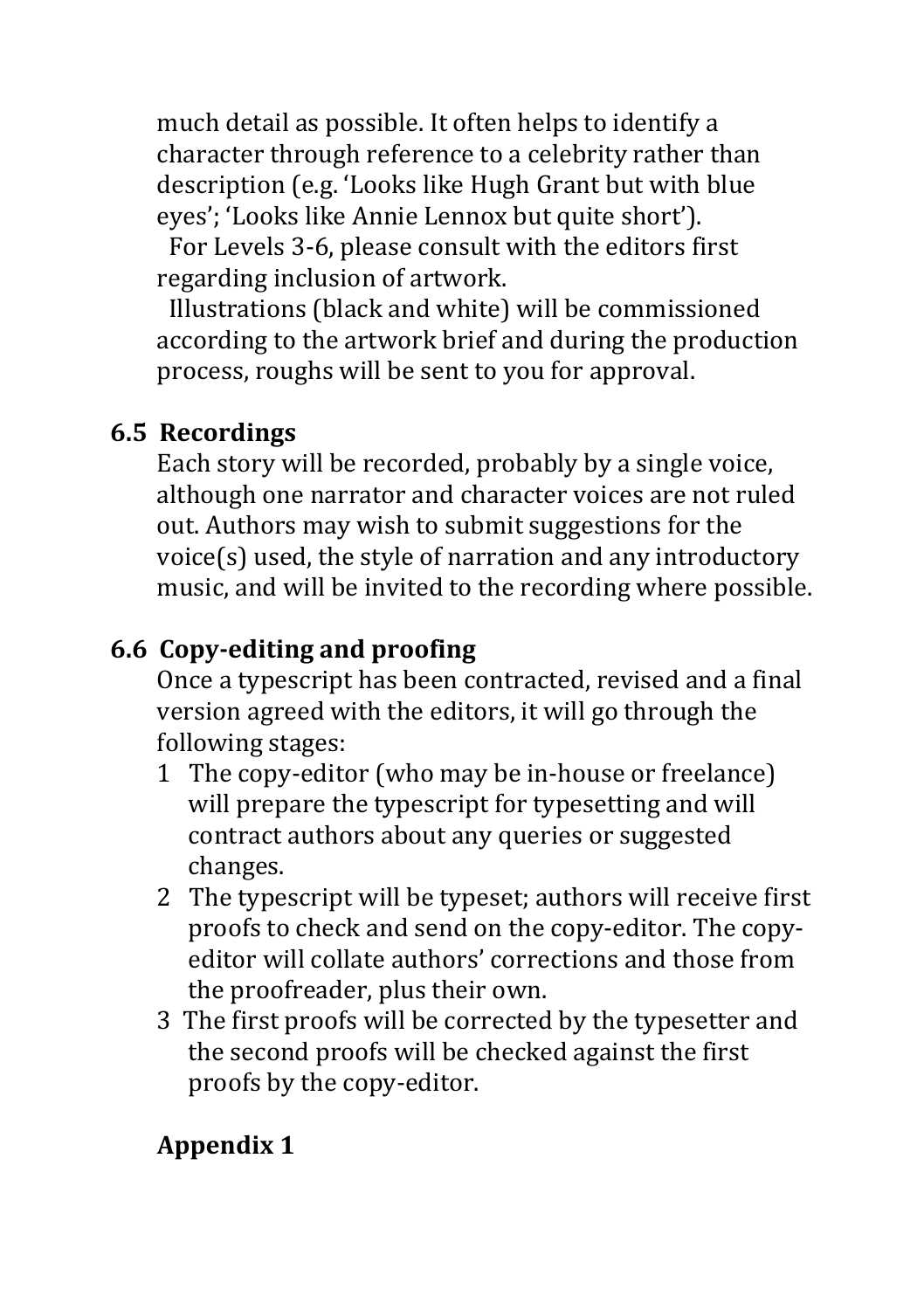much detail as possible. It often helps to identify a character through reference to a celebrity rather than description (e.g. 'Looks like Hugh Grant but with blue eyes'; 'Looks like Annie Lennox but quite short').

For Levels 3-6, please consult with the editors first regarding inclusion of artwork.

Illustrations (black and white) will be commissioned according to the artwork brief and during the production process, roughs will be sent to you for approval.

## **6.5 Recordings**

Each story will be recorded, probably by a single voice, although one narrator and character voices are not ruled out. Authors may wish to submit suggestions for the  $voice(s)$  used, the style of narration and any introductory music, and will be invited to the recording where possible.

# **6.6 Copy-editing and proofing**

Once a typescript has been contracted, revised and a final version agreed with the editors, it will go through the following stages:

- 1 The copy-editor (who may be in-house or freelance) will prepare the typescript for typesetting and will contract authors about any queries or suggested changes.
- 2 The typescript will be typeset; authors will receive first proofs to check and send on the copy-editor. The copyeditor will collate authors' corrections and those from the proofreader, plus their own.
- 3 The first proofs will be corrected by the typesetter and the second proofs will be checked against the first proofs by the copy-editor.

# **Appendix 1**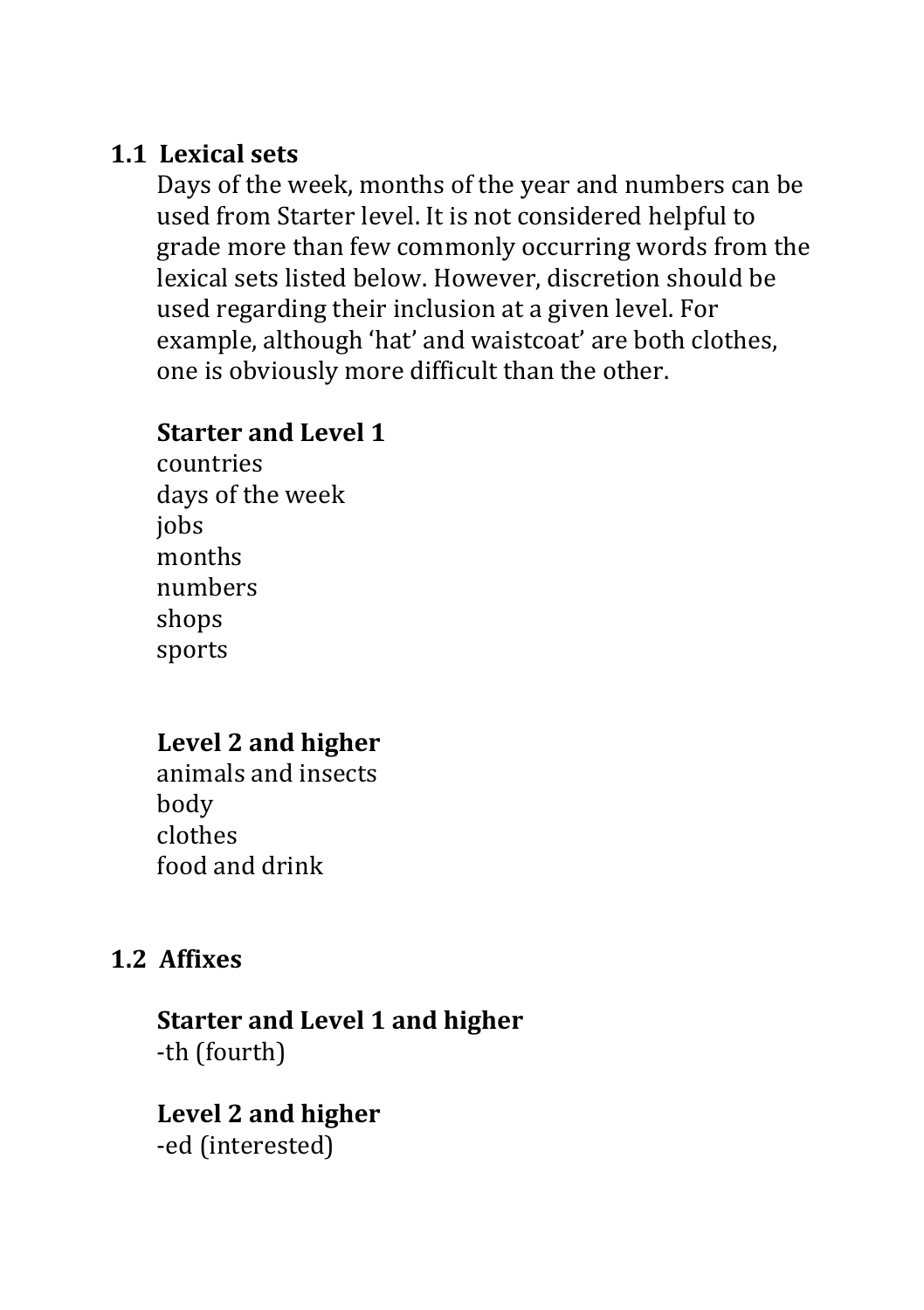### **1.1 Lexical sets**

Days of the week, months of the year and numbers can be used from Starter level. It is not considered helpful to grade more than few commonly occurring words from the lexical sets listed below. However, discretion should be used regarding their inclusion at a given level. For example, although 'hat' and waistcoat' are both clothes, one is obviously more difficult than the other.

### **Starter and Level 1**

countries days of the week jobs months numbers shops sports

### **Level 2 and higher**

animals and insects body clothes food and drink

### **1.2 Affixes**

### **Starter and Level 1 and higher** -th (fourth)

#### Level 2 and higher -ed (interested)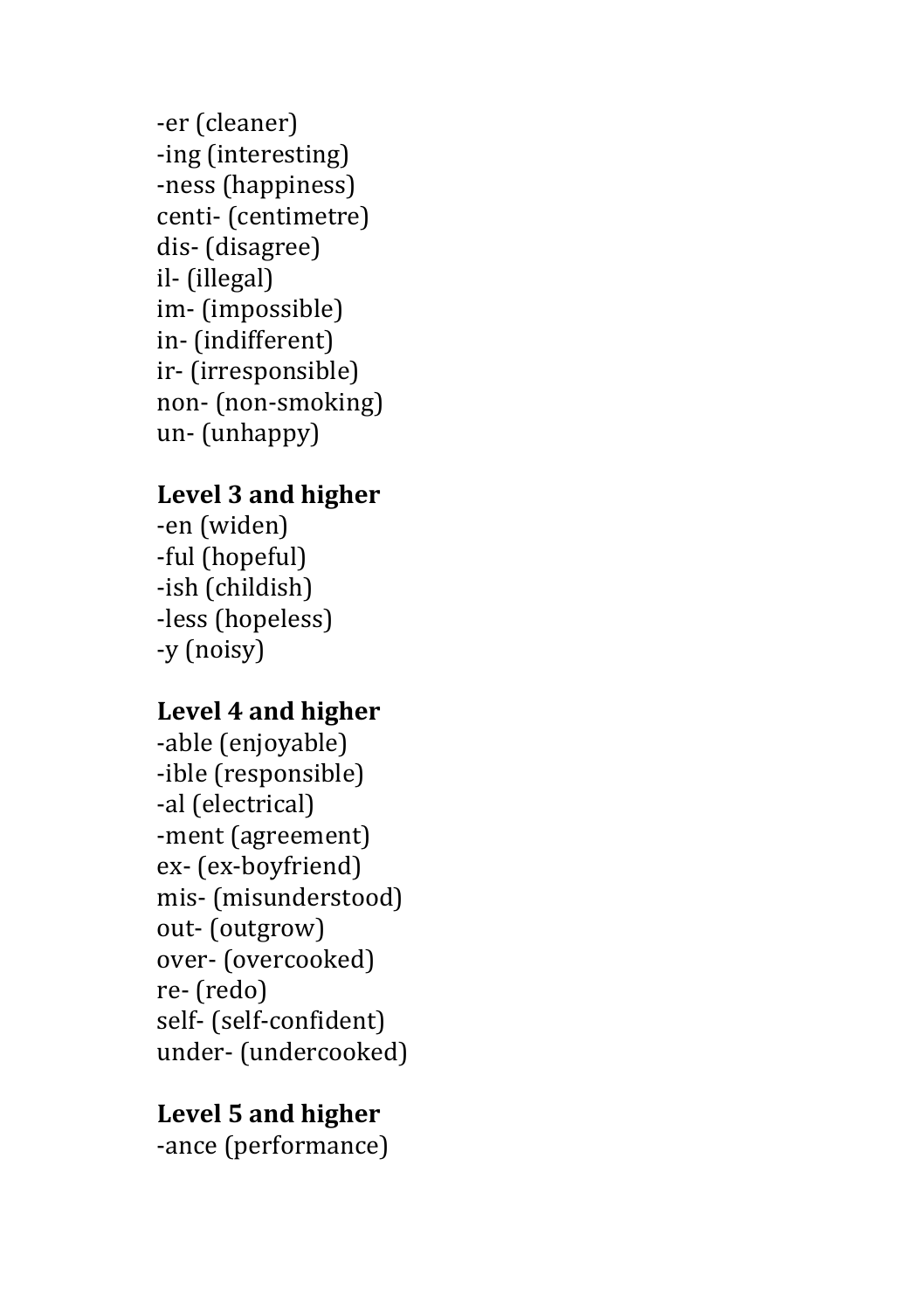-er (cleaner) -ing (interesting) -ness (happiness) centi- (centimetre) dis- (disagree) il- (illegal) im- (impossible) in- (indifferent) ir- (irresponsible) non- (non-smoking) un- (unhappy)

### **Level 3 and higher**

-en (widen) -ful (hopeful) -ish (childish) -less (hopeless) -y (noisy)

#### Level 4 and higher

-able (enjoyable) -ible (responsible) -al (electrical) -ment (agreement) ex- (ex-boyfriend) mis- (misunderstood) out- (outgrow) over- (overcooked) re- (redo) self- (self-confident) under- (undercooked)

### Level 5 and higher

-ance (performance)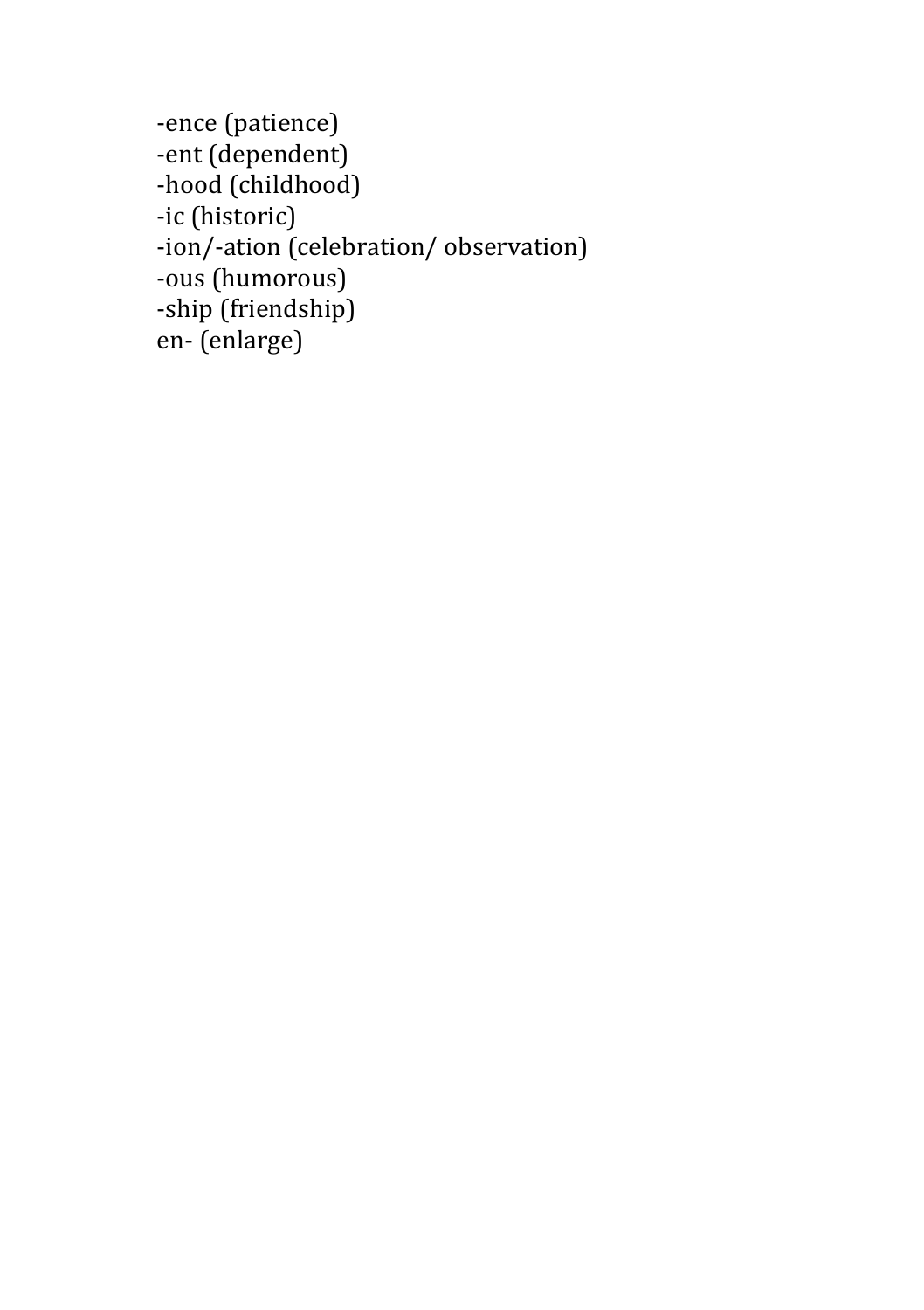```
-ence (patience)
-ent (dependent)
-hood (childhood)
-ic	(historic)
-ion/-ation (celebration/ observation)
-ous (humorous)
-ship (friendship)
en- (enlarge)
```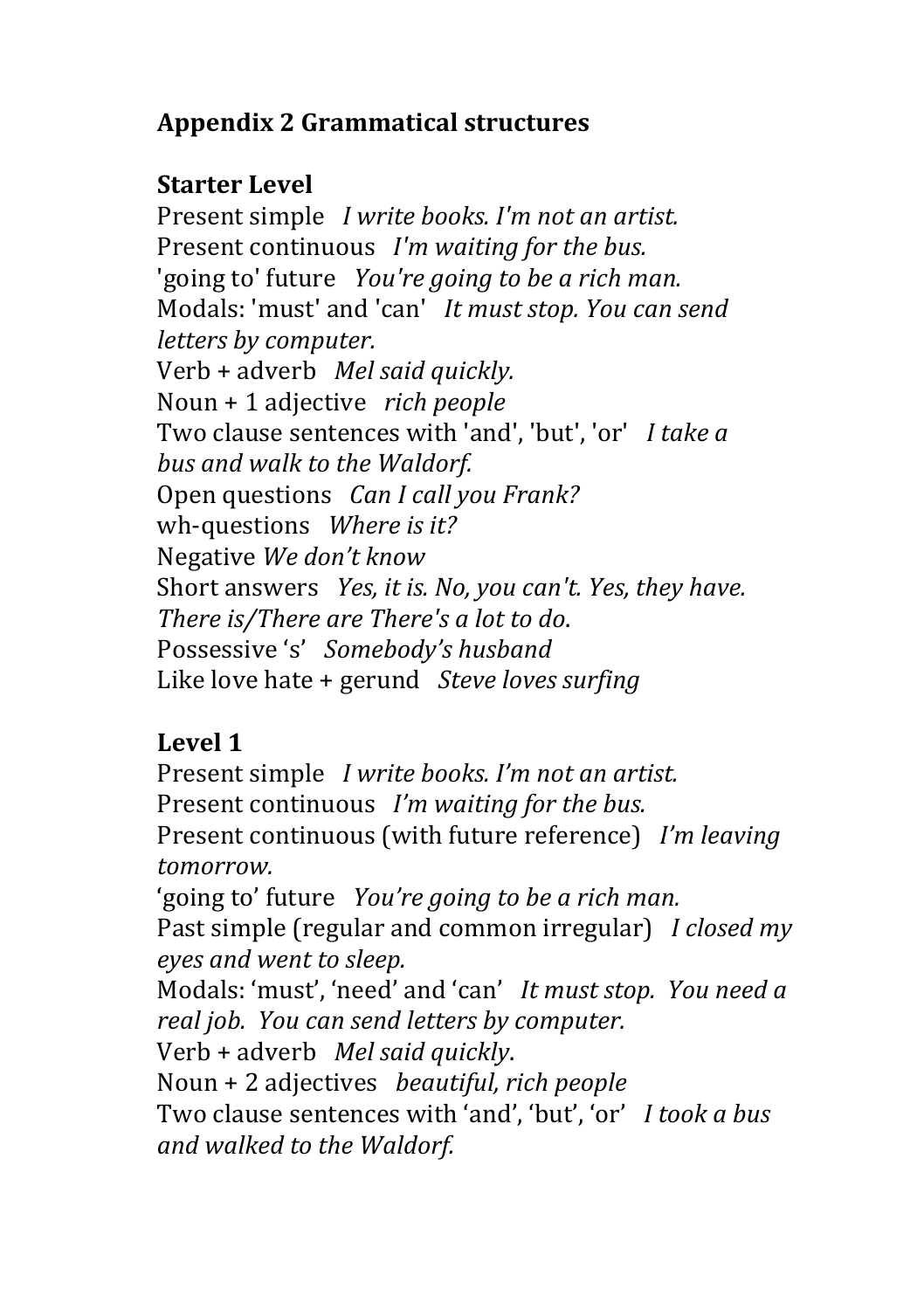## **Appendix 2 Grammatical structures**

## **Starter Level**

Present simple *I write books. I'm not an artist.* Present continuous *I'm waiting for the bus.* 'going to' future *You're going to be a rich man.* Modals: 'must' and 'can' *It must stop. You can send letters by computer.* Verb + adverb *Mel said quickly.* Noun + 1 adjective *rich people* Two clause sentences with 'and', 'but', 'or' *I take a bus and walk to the Waldorf.* Open questions *Can I call you Frank?* wh-questions Where is it? Negative We don't know Short answers *Yes, it is. No, you can't. Yes, they have.* There is/There are There's a lot to do. Possessive 's' Somebody's husband Like love hate + gerund *Steve loves surfing* 

# **Level 1**

Present simple *I write books. I'm not an artist.* Present continuous *I'm waiting for the bus.* Present continuous (with future reference) *I'm leaving tomorrow.* 'going to' future *You're going to be a rich man.* Past simple (regular and common irregular) *I closed my eyes and went to sleep.* Modals: 'must', 'need' and 'can' It must stop. You need a *real job.* You can send letters by computer. Verb + adverb *Mel said quickly*. Noun + 2 adjectives *beautiful, rich people* Two clause sentences with 'and', 'but', 'or' *I took a bus and walked to the Waldorf.*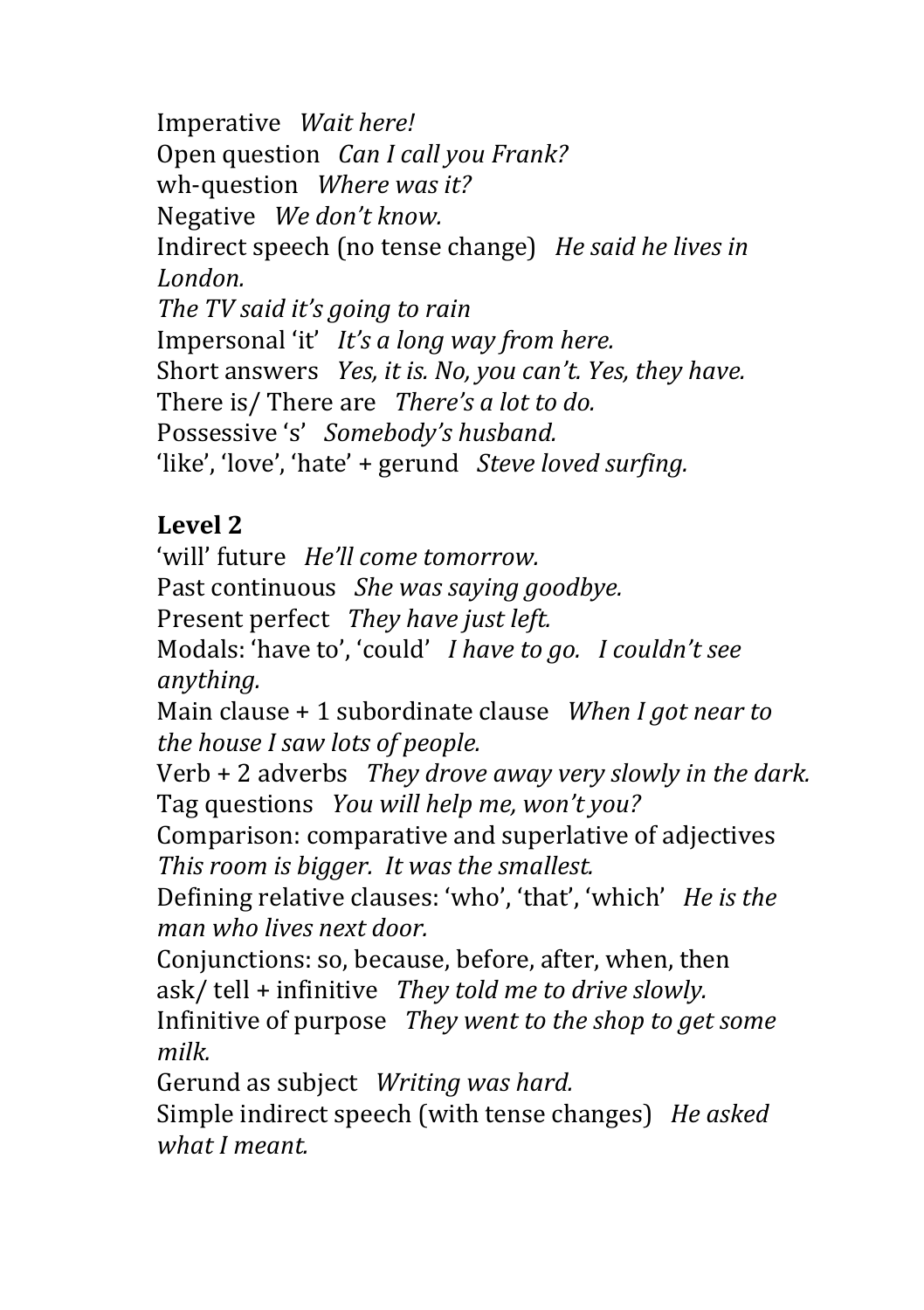Imperative *Wait here!* Open question *Can I call you Frank?* wh-question *Where was it?* Negative *We don't know.* Indirect speech (no tense change) *He said he lives in London.* The TV said it's going to rain Impersonal 'it' *It's a long way from here.* Short answers *Yes, it is. No, you can't. Yes, they have.* There is/ There are *There's a lot to do.* Possessive 's' Somebody's husband. 'like', 'love', 'hate' + gerund *Steve loved surfing.* 

## $L$ evel  $2$

'will' future *He'll come tomorrow.* Past continuous She was saying goodbye. Present perfect *They have just left.* Modals: 'have to', 'could' *I have to go. I couldn't see anything.*

Main clause + 1 subordinate clause When I got near to *the house I saw lots of people.* 

Verb + 2 adverbs *They drove away very slowly in the dark.* Tag questions *You will help me, won't you?* 

Comparison: comparative and superlative of adjectives *This room is bigger. It was the smallest.* 

Defining relative clauses: 'who', 'that', 'which' *He is the man who lives next door.*

Conjunctions: so, because, before, after, when, then ask/ tell + infinitive *They told me to drive slowly.* 

Infinitive of purpose *They went to the shop to get some milk.*

Gerund as subject *Writing was hard.* 

Simple indirect speech (with tense changes) *He asked what I meant.*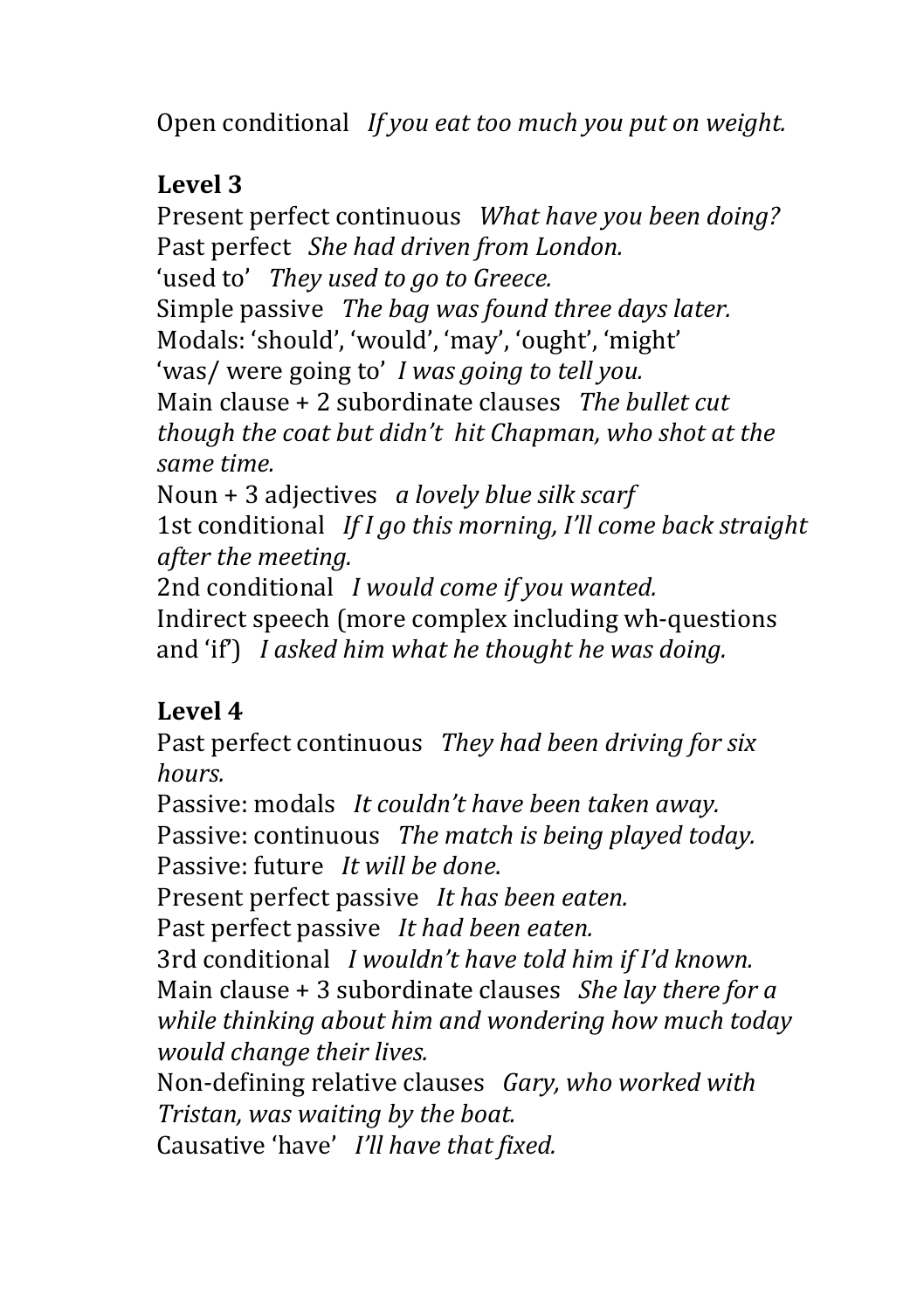Open conditional *If you eat too much you put on weight.* 

## **Level 3**

Present perfect continuous *What have you been doing?* Past perfect She had driven from London. 'used to' They used to go to Greece. Simple passive The bag was found three days later. Modals: 'should', 'would', 'may', 'ought', 'might' 'was/ were going to' *I* was going to tell you. Main clause + 2 subordinate clauses The bullet cut *though the coat but didn't hit Chapman, who shot at the same time.* Noun + 3 adjectives *a lovely blue silk scarf* 

1st conditional *If I go this morning, I'll come back straight after the meeting.*

2nd conditional *I would come if you wanted.* Indirect speech (more complex including wh-questions and 'if') I asked him what he thought he was doing.

# Level 4

Past perfect continuous They had been driving for six *hours.*

Passive: modals *It couldn't have been taken away.* Passive: continuous The match is being played today. Passive: future *It will be done*.

Present perfect passive It has been eaten.

Past perfect passive *It had been eaten.* 

3rd conditional *I* wouldn't have told him if I'd known. Main clause + 3 subordinate clauses She lay there for a *while thinking about him and wondering how much today would change their lives.*

Non-defining relative clauses *Gary, who worked with Tristan, was waiting by the boat.* 

Causative 'have' *I'll have that fixed.*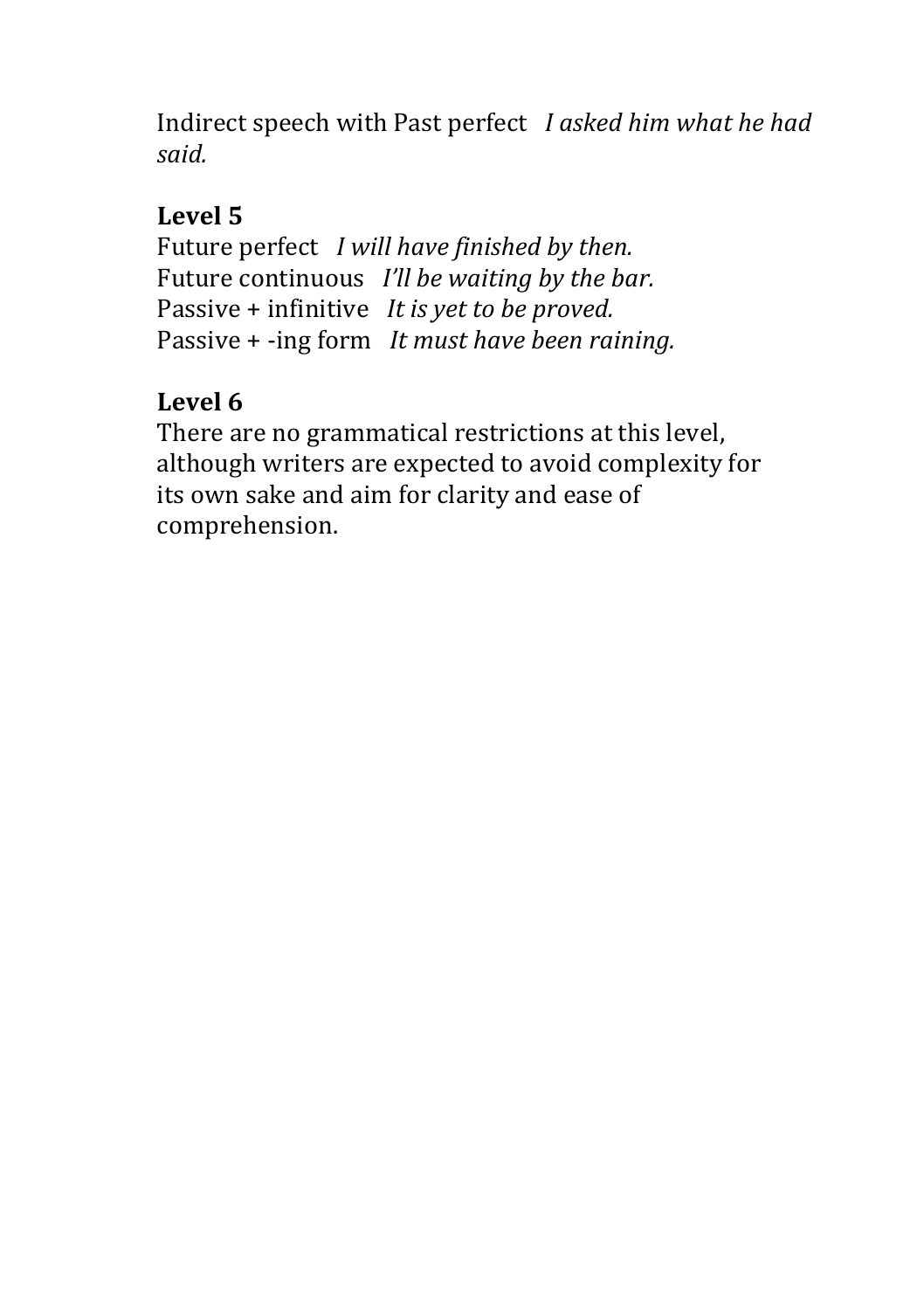Indirect speech with Past perfect *I* asked him what he had *said.*

## Level 5

Future perfect *I will have finished by then.* Future continuous *I'll be waiting by the bar.* Passive + infinitive *It is yet to be proved.* Passive + -ing form It must have been raining.

# Level 6

There are no grammatical restrictions at this level, although writers are expected to avoid complexity for its own sake and aim for clarity and ease of comprehension.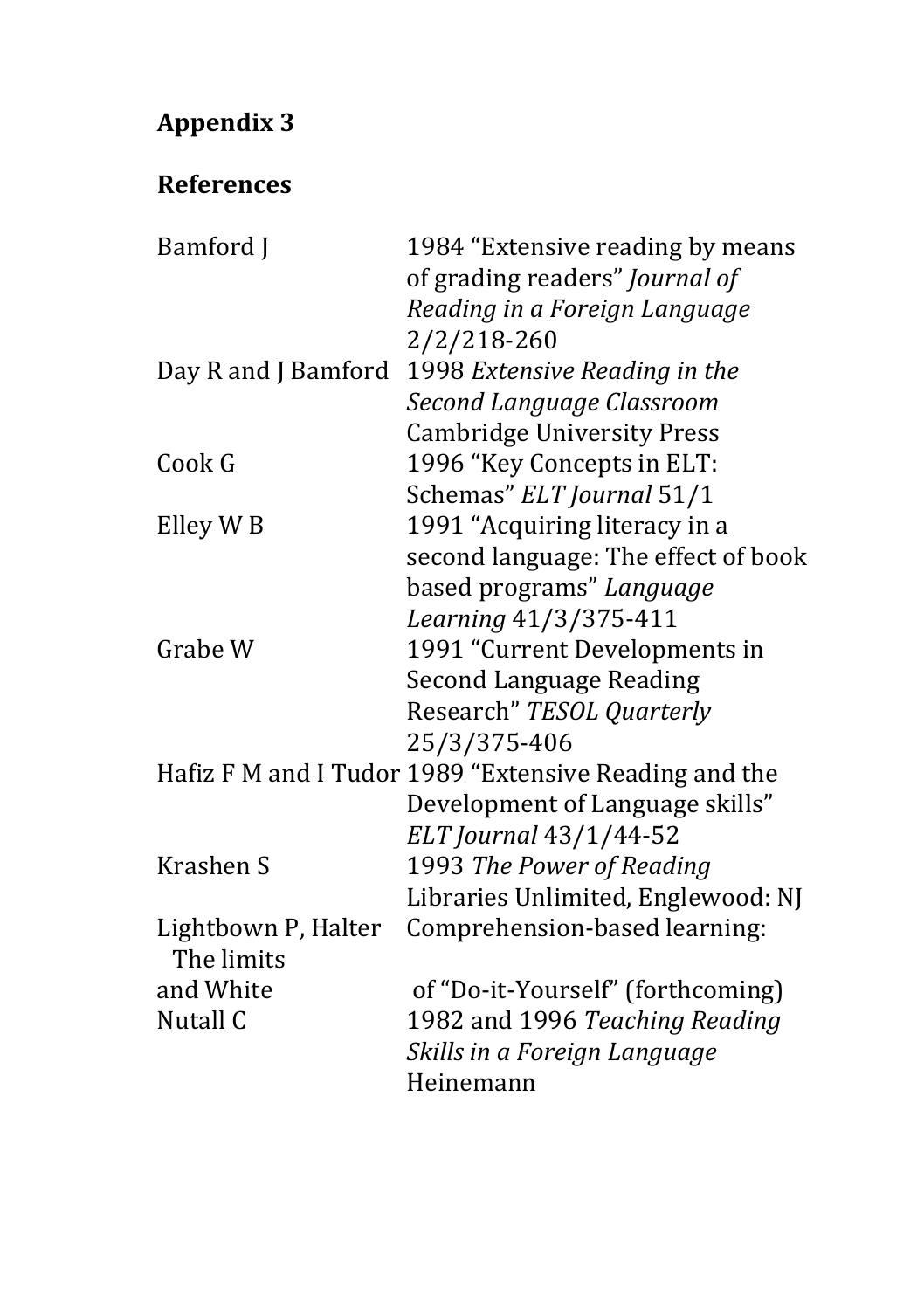# **Appendix 3**

# **References**

| Bamford J           | 1984 "Extensive reading by means                      |
|---------------------|-------------------------------------------------------|
|                     | of grading readers" Journal of                        |
|                     | Reading in a Foreign Language                         |
|                     | 2/2/218-260                                           |
| Day R and J Bamford | 1998 Extensive Reading in the                         |
|                     | Second Language Classroom                             |
|                     | <b>Cambridge University Press</b>                     |
| Cook G              | 1996 "Key Concepts in ELT:                            |
|                     | Schemas" ELT Journal 51/1                             |
| Elley W B           | 1991 "Acquiring literacy in a                         |
|                     | second language: The effect of book                   |
|                     | based programs" Language                              |
|                     | Learning 41/3/375-411                                 |
| Grabe W             | 1991 "Current Developments in                         |
|                     | <b>Second Language Reading</b>                        |
|                     | Research" TESOL Quarterly                             |
|                     | 25/3/375-406                                          |
|                     | Hafiz F M and I Tudor 1989 "Extensive Reading and the |
|                     | Development of Language skills"                       |
|                     | ELT Journal 43/1/44-52                                |
| Krashen S           | 1993 The Power of Reading                             |
|                     | Libraries Unlimited, Englewood: NJ                    |
| Lightbown P, Halter | Comprehension-based learning:                         |
| The limits          |                                                       |
| and White           | of "Do-it-Yourself" (forthcoming)                     |
| Nutall C            | 1982 and 1996 Teaching Reading                        |
|                     |                                                       |
|                     |                                                       |
|                     | Skills in a Foreign Language<br>Heinemann             |